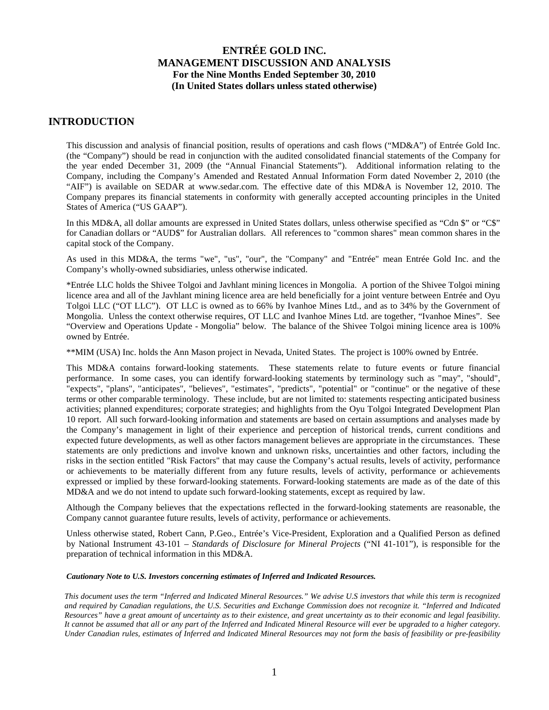## **INTRODUCTION**

This discussion and analysis of financial position, results of operations and cash flows ("MD&A") of Entrée Gold Inc. (the "Company") should be read in conjunction with the audited consolidated financial statements of the Company for the year ended December 31, 2009 (the "Annual Financial Statements"). Additional information relating to the Company, including the Company's Amended and Restated Annual Information Form dated November 2, 2010 (the "AIF") is available on SEDAR at [www.sedar.com.](http://www.sedar.com/) The effective date of this MD&A is November 12, 2010. The Company prepares its financial statements in conformity with generally accepted accounting principles in the United States of America ("US GAAP").

In this MD&A, all dollar amounts are expressed in United States dollars, unless otherwise specified as "Cdn \$" or "C\$" for Canadian dollars or "AUD\$" for Australian dollars. All references to "common shares" mean common shares in the capital stock of the Company.

As used in this MD&A, the terms "we", "us", "our", the "Company" and "Entrée" mean Entrée Gold Inc. and the Company's wholly-owned subsidiaries, unless otherwise indicated.

\*Entrée LLC holds the Shivee Tolgoi and Javhlant mining licences in Mongolia. A portion of the Shivee Tolgoi mining licence area and all of the Javhlant mining licence area are held beneficially for a joint venture between Entrée and Oyu Tolgoi LLC ("OT LLC"). OT LLC is owned as to 66% by Ivanhoe Mines Ltd., and as to 34% by the Government of Mongolia. Unless the context otherwise requires, OT LLC and Ivanhoe Mines Ltd. are together, "Ivanhoe Mines". See "Overview and Operations Update - Mongolia" below. The balance of the Shivee Tolgoi mining licence area is 100% owned by Entrée.

\*\*MIM (USA) Inc. holds the Ann Mason project in Nevada, United States. The project is 100% owned by Entrée.

This MD&A contains forward-looking statements. These statements relate to future events or future financial performance. In some cases, you can identify forward-looking statements by terminology such as "may", "should", "expects", "plans", "anticipates", "believes", "estimates", "predicts", "potential" or "continue" or the negative of these terms or other comparable terminology. These include, but are not limited to: statements respecting anticipated business activities; planned expenditures; corporate strategies; and highlights from the Oyu Tolgoi Integrated Development Plan 10 report. All such forward-looking information and statements are based on certain assumptions and analyses made by the Company's management in light of their experience and perception of historical trends, current conditions and expected future developments, as well as other factors management believes are appropriate in the circumstances. These statements are only predictions and involve known and unknown risks, uncertainties and other factors, including the risks in the section entitled "Risk Factors" that may cause the Company's actual results, levels of activity, performance or achievements to be materially different from any future results, levels of activity, performance or achievements expressed or implied by these forward-looking statements. Forward-looking statements are made as of the date of this MD&A and we do not intend to update such forward-looking statements, except as required by law.

Although the Company believes that the expectations reflected in the forward-looking statements are reasonable, the Company cannot guarantee future results, levels of activity, performance or achievements.

Unless otherwise stated, Robert Cann, P.Geo., Entrée's Vice-President, Exploration and a Qualified Person as defined by National Instrument 43-101 – *Standards of Disclosure for Mineral Projects* ("NI 41-101"), is responsible for the preparation of technical information in this MD&A.

#### *Cautionary Note to U.S. Investors concerning estimates of Inferred and Indicated Resources.*

*This document uses the term "Inferred and Indicated Mineral Resources." We advise U.S investors that while this term is recognized and required by Canadian regulations, the U.S. Securities and Exchange Commission does not recognize it. "Inferred and Indicated Resources" have a great amount of uncertainty as to their existence, and great uncertainty as to their economic and legal feasibility. It cannot be assumed that all or any part of the Inferred and Indicated Mineral Resource will ever be upgraded to a higher category. Under Canadian rules, estimates of Inferred and Indicated Mineral Resources may not form the basis of feasibility or pre-feasibility*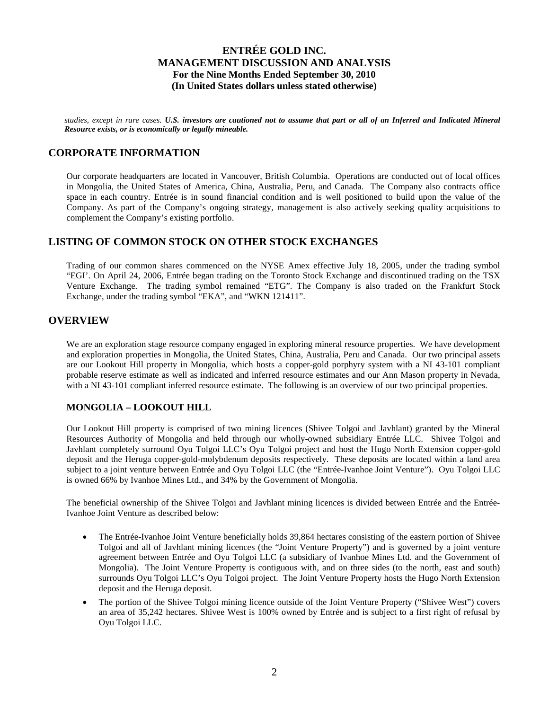*studies, except in rare cases. U.S. investors are cautioned not to assume that part or all of an Inferred and Indicated Mineral Resource exists, or is economically or legally mineable.*

## **CORPORATE INFORMATION**

Our corporate headquarters are located in Vancouver, British Columbia. Operations are conducted out of local offices in Mongolia, the United States of America, China, Australia, Peru, and Canada. The Company also contracts office space in each country. Entrée is in sound financial condition and is well positioned to build upon the value of the Company. As part of the Company's ongoing strategy, management is also actively seeking quality acquisitions to complement the Company's existing portfolio.

## **LISTING OF COMMON STOCK ON OTHER STOCK EXCHANGES**

Trading of our common shares commenced on the NYSE Amex effective July 18, 2005, under the trading symbol "EGI'. On April 24, 2006, Entrée began trading on the Toronto Stock Exchange and discontinued trading on the TSX Venture Exchange. The trading symbol remained "ETG". The Company is also traded on the Frankfurt Stock Exchange, under the trading symbol "EKA", and "WKN 121411".

## **OVERVIEW**

We are an exploration stage resource company engaged in exploring mineral resource properties. We have development and exploration properties in Mongolia, the United States, China, Australia, Peru and Canada. Our two principal assets are our Lookout Hill property in Mongolia, which hosts a copper-gold porphyry system with a NI 43-101 compliant probable reserve estimate as well as indicated and inferred resource estimates and our Ann Mason property in Nevada, with a NI 43-101 compliant inferred resource estimate. The following is an overview of our two principal properties.

### **MONGOLIA – LOOKOUT HILL**

Our Lookout Hill property is comprised of two mining licences (Shivee Tolgoi and Javhlant) granted by the Mineral Resources Authority of Mongolia and held through our wholly-owned subsidiary Entrée LLC. Shivee Tolgoi and Javhlant completely surround Oyu Tolgoi LLC's Oyu Tolgoi project and host the Hugo North Extension copper-gold deposit and the Heruga copper-gold-molybdenum deposits respectively. These deposits are located within a land area subject to a joint venture between Entrée and Oyu Tolgoi LLC (the "Entrée-Ivanhoe Joint Venture"). Oyu Tolgoi LLC is owned 66% by Ivanhoe Mines Ltd., and 34% by the Government of Mongolia.

The beneficial ownership of the Shivee Tolgoi and Javhlant mining licences is divided between Entrée and the Entrée-Ivanhoe Joint Venture as described below:

- The Entrée-Ivanhoe Joint Venture beneficially holds 39,864 hectares consisting of the eastern portion of Shivee Tolgoi and all of Javhlant mining licences (the "Joint Venture Property") and is governed by a joint venture agreement between Entrée and Oyu Tolgoi LLC (a subsidiary of Ivanhoe Mines Ltd. and the Government of Mongolia). The Joint Venture Property is contiguous with, and on three sides (to the north, east and south) surrounds Oyu Tolgoi LLC's Oyu Tolgoi project. The Joint Venture Property hosts the Hugo North Extension deposit and the Heruga deposit.
- The portion of the Shivee Tolgoi mining licence outside of the Joint Venture Property ("Shivee West") covers an area of 35,242 hectares. Shivee West is 100% owned by Entrée and is subject to a first right of refusal by Oyu Tolgoi LLC.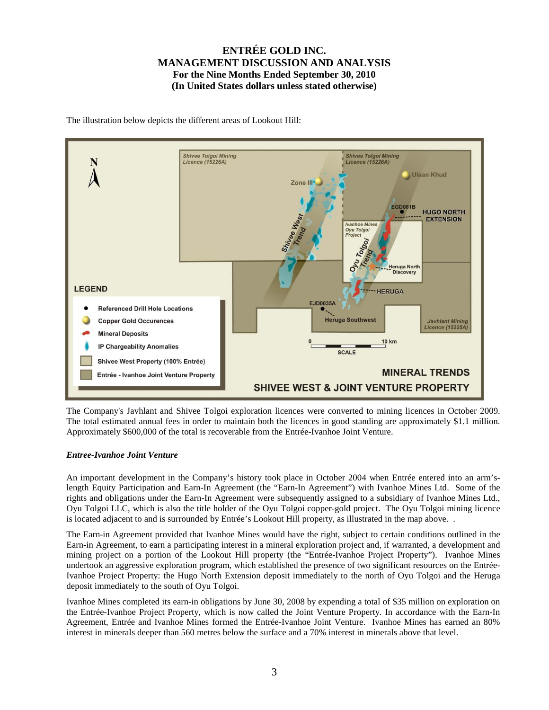The illustration below depicts the different areas of Lookout Hill:



The Company's Javhlant and Shivee Tolgoi exploration licences were converted to mining licences in October 2009. The total estimated annual fees in order to maintain both the licences in good standing are approximately \$1.1 million. Approximately \$600,000 of the total is recoverable from the Entrée-Ivanhoe Joint Venture.

### *Entree-Ivanhoe Joint Venture*

An important development in the Company's history took place in October 2004 when Entrée entered into an arm'slength Equity Participation and Earn-In Agreement (the "Earn-In Agreement") with Ivanhoe Mines Ltd. Some of the rights and obligations under the Earn-In Agreement were subsequently assigned to a subsidiary of Ivanhoe Mines Ltd., Oyu Tolgoi LLC, which is also the title holder of the Oyu Tolgoi copper-gold project. The Oyu Tolgoi mining licence is located adjacent to and is surrounded by Entrée's Lookout Hill property, as illustrated in the map above. .

The Earn-in Agreement provided that Ivanhoe Mines would have the right, subject to certain conditions outlined in the Earn-in Agreement, to earn a participating interest in a mineral exploration project and, if warranted, a development and mining project on a portion of the Lookout Hill property (the "Entrée-Ivanhoe Project Property"). Ivanhoe Mines undertook an aggressive exploration program, which established the presence of two significant resources on the Entrée-Ivanhoe Project Property: the Hugo North Extension deposit immediately to the north of Oyu Tolgoi and the Heruga deposit immediately to the south of Oyu Tolgoi.

Ivanhoe Mines completed its earn-in obligations by June 30, 2008 by expending a total of \$35 million on exploration on the Entrée-Ivanhoe Project Property, which is now called the Joint Venture Property. In accordance with the Earn-In Agreement, Entrée and Ivanhoe Mines formed the Entrée-Ivanhoe Joint Venture. Ivanhoe Mines has earned an 80% interest in minerals deeper than 560 metres below the surface and a 70% interest in minerals above that level.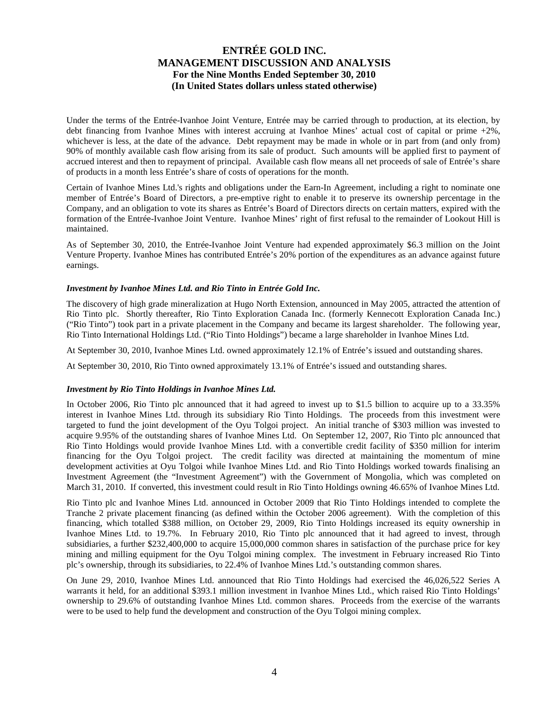Under the terms of the Entrée-Ivanhoe Joint Venture, Entrée may be carried through to production, at its election, by debt financing from Ivanhoe Mines with interest accruing at Ivanhoe Mines' actual cost of capital or prime +2%, whichever is less, at the date of the advance. Debt repayment may be made in whole or in part from (and only from) 90% of monthly available cash flow arising from its sale of product. Such amounts will be applied first to payment of accrued interest and then to repayment of principal. Available cash flow means all net proceeds of sale of Entrée's share of products in a month less Entrée's share of costs of operations for the month.

Certain of Ivanhoe Mines Ltd.'s rights and obligations under the Earn-In Agreement, including a right to nominate one member of Entrée's Board of Directors, a pre-emptive right to enable it to preserve its ownership percentage in the Company, and an obligation to vote its shares as Entrée's Board of Directors directs on certain matters, expired with the formation of the Entrée-Ivanhoe Joint Venture. Ivanhoe Mines' right of first refusal to the remainder of Lookout Hill is maintained.

As of September 30, 2010, the Entrée-Ivanhoe Joint Venture had expended approximately \$6.3 million on the Joint Venture Property. Ivanhoe Mines has contributed Entrée's 20% portion of the expenditures as an advance against future earnings.

#### *Investment by Ivanhoe Mines Ltd. and Rio Tinto in Entrée Gold Inc.*

The discovery of high grade mineralization at Hugo North Extension, announced in May 2005, attracted the attention of Rio Tinto plc. Shortly thereafter, Rio Tinto Exploration Canada Inc. (formerly Kennecott Exploration Canada Inc.) ("Rio Tinto") took part in a private placement in the Company and became its largest shareholder. The following year, Rio Tinto International Holdings Ltd. ("Rio Tinto Holdings") became a large shareholder in Ivanhoe Mines Ltd.

At September 30, 2010, Ivanhoe Mines Ltd. owned approximately 12.1% of Entrée's issued and outstanding shares.

At September 30, 2010, Rio Tinto owned approximately 13.1% of Entrée's issued and outstanding shares.

#### *Investment by Rio Tinto Holdings in Ivanhoe Mines Ltd.*

In October 2006, Rio Tinto plc announced that it had agreed to invest up to \$1.5 billion to acquire up to a 33.35% interest in Ivanhoe Mines Ltd. through its subsidiary Rio Tinto Holdings. The proceeds from this investment were targeted to fund the joint development of the Oyu Tolgoi project. An initial tranche of \$303 million was invested to acquire 9.95% of the outstanding shares of Ivanhoe Mines Ltd. On September 12, 2007, Rio Tinto plc announced that Rio Tinto Holdings would provide Ivanhoe Mines Ltd. with a convertible credit facility of \$350 million for interim financing for the Oyu Tolgoi project. The credit facility was directed at maintaining the momentum of mine development activities at Oyu Tolgoi while Ivanhoe Mines Ltd. and Rio Tinto Holdings worked towards finalising an Investment Agreement (the "Investment Agreement") with the Government of Mongolia, which was completed on March 31, 2010. If converted, this investment could result in Rio Tinto Holdings owning 46.65% of Ivanhoe Mines Ltd.

Rio Tinto plc and Ivanhoe Mines Ltd. announced in October 2009 that Rio Tinto Holdings intended to complete the Tranche 2 private placement financing (as defined within the October 2006 agreement). With the completion of this financing, which totalled \$388 million, on October 29, 2009, Rio Tinto Holdings increased its equity ownership in Ivanhoe Mines Ltd. to 19.7%. In February 2010, Rio Tinto plc announced that it had agreed to invest, through subsidiaries, a further \$232,400,000 to acquire 15,000,000 common shares in satisfaction of the purchase price for key mining and milling equipment for the Oyu Tolgoi mining complex. The investment in February increased Rio Tinto plc's ownership, through its subsidiaries, to 22.4% of Ivanhoe Mines Ltd.'s outstanding common shares.

On June 29, 2010, Ivanhoe Mines Ltd. announced that Rio Tinto Holdings had exercised the 46,026,522 Series A warrants it held, for an additional \$393.1 million investment in Ivanhoe Mines Ltd., which raised Rio Tinto Holdings' ownership to 29.6% of outstanding Ivanhoe Mines Ltd. common shares. Proceeds from the exercise of the warrants were to be used to help fund the development and construction of the Oyu Tolgoi mining complex.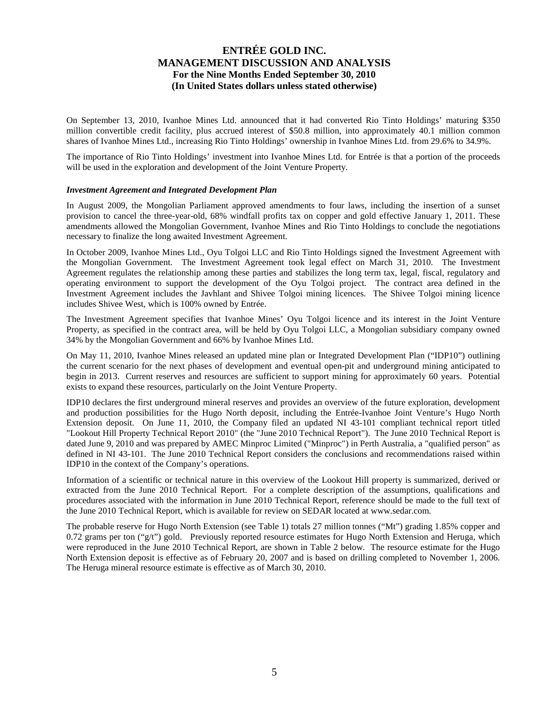On September 13, 2010, Ivanhoe Mines Ltd. announced that it had converted Rio Tinto Holdings' maturing \$350 million convertible credit facility, plus accrued interest of \$50.8 million, into approximately 40.1 million common shares of Ivanhoe Mines Ltd., increasing Rio Tinto Holdings' ownership in Ivanhoe Mines Ltd. from 29.6% to 34.9%.

The importance of Rio Tinto Holdings' investment into Ivanhoe Mines Ltd. for Entrée is that a portion of the proceeds will be used in the exploration and development of the Joint Venture Property.

#### *Investment Agreement and Integrated Development Plan*

In August 2009, the Mongolian Parliament approved amendments to four laws, including the insertion of a sunset provision to cancel the three-year-old, 68% windfall profits tax on copper and gold effective January 1, 2011. These amendments allowed the Mongolian Government, Ivanhoe Mines and Rio Tinto Holdings to conclude the negotiations necessary to finalize the long awaited Investment Agreement.

In October 2009, Ivanhoe Mines Ltd., Oyu Tolgoi LLC and Rio Tinto Holdings signed the Investment Agreement with the Mongolian Government. The Investment Agreement took legal effect on March 31, 2010. The Investment Agreement regulates the relationship among these parties and stabilizes the long term tax, legal, fiscal, regulatory and operating environment to support the development of the Oyu Tolgoi project. The contract area defined in the Investment Agreement includes the Javhlant and Shivee Tolgoi mining licences. The Shivee Tolgoi mining licence includes Shivee West, which is 100% owned by Entrée.

The Investment Agreement specifies that Ivanhoe Mines' Oyu Tolgoi licence and its interest in the Joint Venture Property, as specified in the contract area, will be held by Oyu Tolgoi LLC, a Mongolian subsidiary company owned 34% by the Mongolian Government and 66% by Ivanhoe Mines Ltd.

On May 11, 2010, Ivanhoe Mines released an updated mine plan or Integrated Development Plan ("IDP10") outlining the current scenario for the next phases of development and eventual open-pit and underground mining anticipated to begin in 2013. Current reserves and resources are sufficient to support mining for approximately 60 years. Potential exists to expand these resources, particularly on the Joint Venture Property.

IDP10 declares the first underground mineral reserves and provides an overview of the future exploration, development and production possibilities for the Hugo North deposit, including the Entrée-Ivanhoe Joint Venture's Hugo North Extension deposit. On June 11, 2010, the Company filed an updated NI 43-101 compliant technical report titled "Lookout Hill Property Technical Report 2010" (the "June 2010 Technical Report"). The June 2010 Technical Report is dated June 9, 2010 and was prepared by AMEC Minproc Limited ("Minproc") in Perth Australia, a "qualified person" as defined in NI 43-101. The June 2010 Technical Report considers the conclusions and recommendations raised within IDP10 in the context of the Company's operations.

Information of a scientific or technical nature in this overview of the Lookout Hill property is summarized, derived or extracted from the June 2010 Technical Report. For a complete description of the assumptions, qualifications and procedures associated with the information in June 2010 Technical Report, reference should be made to the full text of the June 2010 Technical Report, which is available for review on SEDAR located at [www.sedar.com.](http://www.sedar.com/)

The probable reserve for Hugo North Extension (see Table 1) totals 27 million tonnes ("Mt") grading 1.85% copper and 0.72 grams per ton  $("g/t")$  gold. Previously reported resource estimates for Hugo North Extension and Heruga, which were reproduced in the June 2010 Technical Report, are shown in Table 2 below. The resource estimate for the Hugo North Extension deposit is effective as of February 20, 2007 and is based on drilling completed to November 1, 2006. The Heruga mineral resource estimate is effective as of March 30, 2010.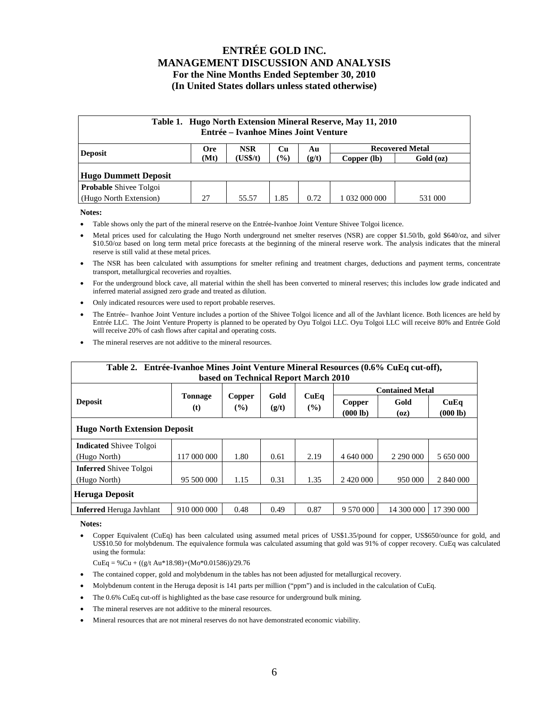| Table 1. Hugo North Extension Mineral Reserve, May 11, 2010<br>Entrée – Ivanhoe Mines Joint Venture |                                                                |          |                  |       |               |           |  |  |  |  |  |
|-----------------------------------------------------------------------------------------------------|----------------------------------------------------------------|----------|------------------|-------|---------------|-----------|--|--|--|--|--|
| <b>Deposit</b>                                                                                      | <b>Recovered Metal</b><br><b>NSR</b><br><b>Ore</b><br>Cu<br>Au |          |                  |       |               |           |  |  |  |  |  |
|                                                                                                     | (Mt)                                                           | (US\$/t) | $\mathcal{O}(0)$ | (g/t) | Copper (lb)   | Gold (oz) |  |  |  |  |  |
| <b>Hugo Dummett Deposit</b>                                                                         |                                                                |          |                  |       |               |           |  |  |  |  |  |
| <b>Probable</b> Shivee Tolgoi                                                                       |                                                                |          |                  |       |               |           |  |  |  |  |  |
| (Hugo North Extension)                                                                              | 27                                                             | 55.57    | 1.85             | 0.72  | 1 032 000 000 | 531 000   |  |  |  |  |  |

**Notes:**

- Table shows only the part of the mineral reserve on the Entrée-Ivanhoe Joint Venture Shivee Tolgoi licence.
- Metal prices used for calculating the Hugo North underground net smelter reserves (NSR) are copper \$1.50/lb, gold \$640/oz, and silver \$10.50/oz based on long term metal price forecasts at the beginning of the mineral reserve work. The analysis indicates that the mineral reserve is still valid at these metal prices.
- The NSR has been calculated with assumptions for smelter refining and treatment charges, deductions and payment terms, concentrate transport, metallurgical recoveries and royalties.
- For the underground block cave, all material within the shell has been converted to mineral reserves; this includes low grade indicated and inferred material assigned zero grade and treated as dilution.
- Only indicated resources were used to report probable reserves.
- The Entrée– Ivanhoe Joint Venture includes a portion of the Shivee Tolgoi licence and all of the Javhlant licence. Both licences are held by Entrée LLC. The Joint Venture Property is planned to be operated by Oyu Tolgoi LLC. Oyu Tolgoi LLC will receive 80% and Entrée Gold will receive 20% of cash flows after capital and operating costs.
- The mineral reserves are not additive to the mineral resources.

| Table 2. Entrée-Ivanhoe Mines Joint Venture Mineral Resources (0.6% CuEq cut-off), |                                     |               |               |             |                    |              |                  |  |  |  |  |
|------------------------------------------------------------------------------------|-------------------------------------|---------------|---------------|-------------|--------------------|--------------|------------------|--|--|--|--|
| based on Technical Report March 2010                                               |                                     |               |               |             |                    |              |                  |  |  |  |  |
|                                                                                    | <b>Contained Metal</b>              |               |               |             |                    |              |                  |  |  |  |  |
| <b>Deposit</b>                                                                     | <b>Tonnage</b><br>(t)               | Copper<br>(%) | Gold<br>(g/t) | CuEq<br>(%) | Copper<br>(000 lb) | Gold<br>(oz) | CuEq<br>(000 lb) |  |  |  |  |
|                                                                                    | <b>Hugo North Extension Deposit</b> |               |               |             |                    |              |                  |  |  |  |  |
| <b>Indicated Shivee Tolgoi</b>                                                     |                                     |               |               |             |                    |              |                  |  |  |  |  |
| (Hugo North)                                                                       | 117 000 000                         | 1.80          | 0.61          | 2.19        | 4 640 000          | 2 290 000    | 5 650 000        |  |  |  |  |
| <b>Inferred</b> Shivee Tolgoi                                                      |                                     |               |               |             |                    |              |                  |  |  |  |  |
| (Hugo North)                                                                       | 95 500 000                          | 1.15          | 0.31          | 1.35        | 2 420 000          | 950 000      | 2 840 000        |  |  |  |  |
| <b>Heruga Deposit</b>                                                              |                                     |               |               |             |                    |              |                  |  |  |  |  |
| <b>Inferred</b> Heruga Javhlant                                                    | 910 000 000                         | 0.48          | 0.49          | 0.87        | 9 570 000          | 14 300 000   | 17 390 000       |  |  |  |  |

**Notes:**

• Copper Equivalent (CuEq) has been calculated using assumed metal prices of US\$1.35/pound for copper, US\$650/ounce for gold, and US\$10.50 for molybdenum. The equivalence formula was calculated assuming that gold was 91% of copper recovery. CuEq was calculated using the formula:

 $CuEq = % Cu + ((g/t Au*18.98)+(Mo*0.01586))/29.76$ 

- The contained copper, gold and molybdenum in the tables has not been adjusted for metallurgical recovery.
- Molybdenum content in the Heruga deposit is 141 parts per million ("ppm") and is included in the calculation of CuEq.
- The 0.6% CuEq cut-off is highlighted as the base case resource for underground bulk mining.
- The mineral reserves are not additive to the mineral resources.
- Mineral resources that are not mineral reserves do not have demonstrated economic viability.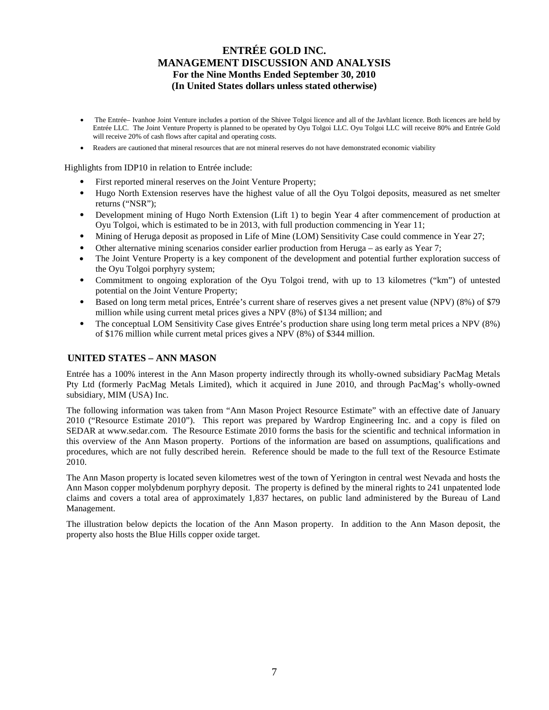- The Entrée– Ivanhoe Joint Venture includes a portion of the Shivee Tolgoi licence and all of the Javhlant licence. Both licences are held by Entrée LLC. The Joint Venture Property is planned to be operated by Oyu Tolgoi LLC. Oyu Tolgoi LLC will receive 80% and Entrée Gold will receive 20% of cash flows after capital and operating costs.
- Readers are cautioned that mineral resources that are not mineral reserves do not have demonstrated economic viability

Highlights from IDP10 in relation to Entrée include:

- First reported mineral reserves on the Joint Venture Property;
- Hugo North Extension reserves have the highest value of all the Oyu Tolgoi deposits, measured as net smelter returns ("NSR");
- Development mining of Hugo North Extension (Lift 1) to begin Year 4 after commencement of production at Oyu Tolgoi, which is estimated to be in 2013, with full production commencing in Year 11;
- Mining of Heruga deposit as proposed in Life of Mine (LOM) Sensitivity Case could commence in Year 27;
- Other alternative mining scenarios consider earlier production from Heruga as early as Year 7;
- The Joint Venture Property is a key component of the development and potential further exploration success of the Oyu Tolgoi porphyry system;
- Commitment to ongoing exploration of the Oyu Tolgoi trend, with up to 13 kilometres ("km") of untested potential on the Joint Venture Property;
- Based on long term metal prices, Entrée's current share of reserves gives a net present value (NPV) (8%) of \$79 million while using current metal prices gives a NPV (8%) of \$134 million; and
- The conceptual LOM Sensitivity Case gives Entrée's production share using long term metal prices a NPV (8%) of \$176 million while current metal prices gives a NPV (8%) of \$344 million.

### **UNITED STATES – ANN MASON**

Entrée has a 100% interest in the Ann Mason property indirectly through its wholly-owned subsidiary PacMag Metals Pty Ltd (formerly PacMag Metals Limited), which it acquired in June 2010, and through PacMag's wholly-owned subsidiary, MIM (USA) Inc.

The following information was taken from "Ann Mason Project Resource Estimate" with an effective date of January 2010 ("Resource Estimate 2010"). This report was prepared by Wardrop Engineering Inc. and a copy is filed on SEDAR at www.sedar.com. The Resource Estimate 2010 forms the basis for the scientific and technical information in this overview of the Ann Mason property. Portions of the information are based on assumptions, qualifications and procedures, which are not fully described herein. Reference should be made to the full text of the Resource Estimate 2010.

The Ann Mason property is located seven kilometres west of the town of Yerington in central west Nevada and hosts the Ann Mason copper molybdenum porphyry deposit. The property is defined by the mineral rights to 241 unpatented lode claims and covers a total area of approximately 1,837 hectares, on public land administered by the Bureau of Land Management.

The illustration below depicts the location of the Ann Mason property. In addition to the Ann Mason deposit, the property also hosts the Blue Hills copper oxide target.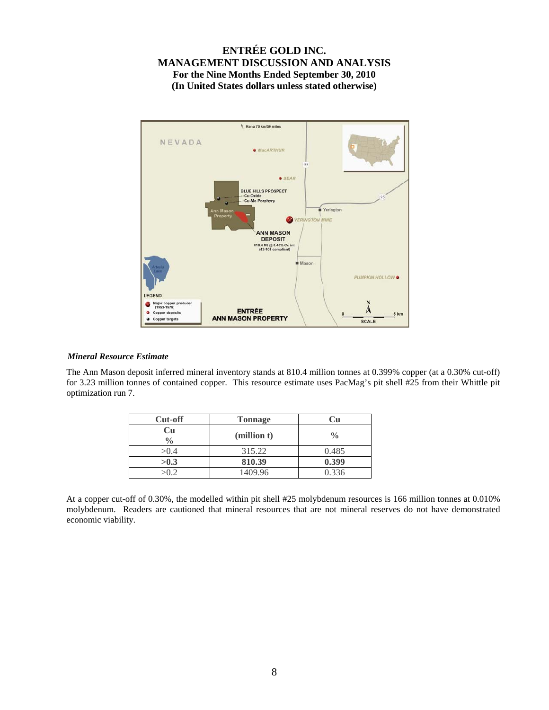

### *Mineral Resource Estimate*

The Ann Mason deposit inferred mineral inventory stands at 810.4 million tonnes at 0.399% copper (at a 0.30% cut-off) for 3.23 million tonnes of contained copper. This resource estimate uses PacMag's pit shell #25 from their Whittle pit optimization run 7.

| Cut-off             | <b>Tonnage</b> |               |
|---------------------|----------------|---------------|
| Cu<br>$\frac{0}{0}$ | (million t)    | $\frac{0}{0}$ |
| >0.4                | 315.22         | 0.485         |
| >0.3                | 810.39         | 0.399         |
| $\sim$ 0.2          | 1409.96        | 0.336         |

At a copper cut-off of 0.30%, the modelled within pit shell #25 molybdenum resources is 166 million tonnes at 0.010% molybdenum. Readers are cautioned that mineral resources that are not mineral reserves do not have demonstrated economic viability.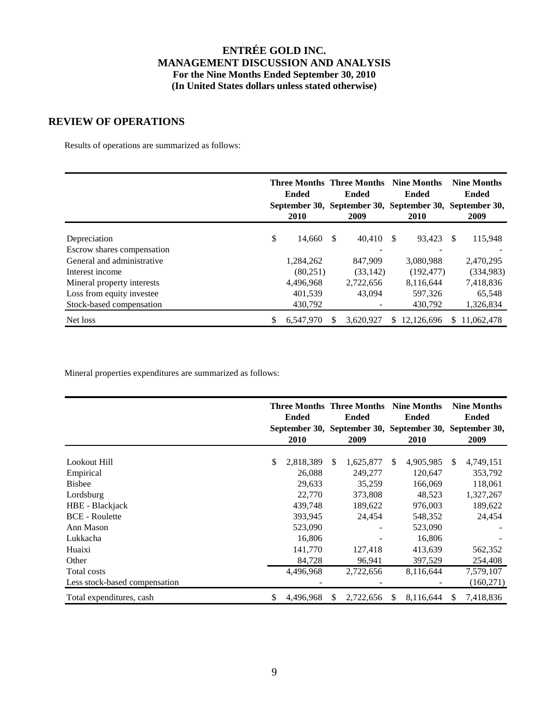## **REVIEW OF OPERATIONS**

Results of operations are summarized as follows:

|                            | <b>Ended</b><br>2010 |     | <b>Three Months Three Months Nine Months</b><br><b>Ended</b><br>2009 |     | <b>Ended</b><br>September 30, September 30, September 30, September 30,<br><b>2010</b> |     | <b>Nine Months</b><br><b>Ended</b><br>2009 |
|----------------------------|----------------------|-----|----------------------------------------------------------------------|-----|----------------------------------------------------------------------------------------|-----|--------------------------------------------|
| Depreciation               | \$<br>14,660         | \$. | 40,410                                                               | \$. | 93,423                                                                                 | \$. | 115,948                                    |
| Escrow shares compensation |                      |     |                                                                      |     |                                                                                        |     |                                            |
| General and administrative | 1,284,262            |     | 847.909                                                              |     | 3,080,988                                                                              |     | 2,470,295                                  |
| Interest income            | (80,251)             |     | (33, 142)                                                            |     | (192, 477)                                                                             |     | (334,983)                                  |
| Mineral property interests | 4,496,968            |     | 2,722,656                                                            |     | 8,116,644                                                                              |     | 7,418,836                                  |
| Loss from equity investee  | 401,539              |     | 43,094                                                               |     | 597,326                                                                                |     | 65,548                                     |
| Stock-based compensation   | 430,792              |     |                                                                      |     | 430,792                                                                                |     | 1,326,834                                  |
| Net loss                   | \$<br>6.547.970      |     | 3.620.927                                                            | S.  | 12.126.696                                                                             | S.  | 11.062.478                                 |

Mineral properties expenditures are summarized as follows:

|                               | <b>Ended</b><br>2010 |     | <b>Three Months Three Months</b><br><b>Ended</b><br>September 30, September 30, September 30, September 30,<br>2009 |               | <b>Nine Months</b><br><b>Ended</b><br>2010 |    | <b>Nine Months</b><br><b>Ended</b><br>2009 |
|-------------------------------|----------------------|-----|---------------------------------------------------------------------------------------------------------------------|---------------|--------------------------------------------|----|--------------------------------------------|
| Lookout Hill                  | \$<br>2,818,389      | \$. | 1,625,877                                                                                                           | <sup>\$</sup> | 4,905,985                                  | S. | 4,749,151                                  |
| Empirical                     | 26,088               |     | 249,277                                                                                                             |               | 120,647                                    |    | 353,792                                    |
| <b>Bisbee</b>                 | 29,633               |     | 35,259                                                                                                              |               | 166,069                                    |    | 118,061                                    |
| Lordsburg                     | 22,770               |     | 373,808                                                                                                             |               | 48,523                                     |    | 1,327,267                                  |
| HBE - Blackjack               | 439,748              |     | 189,622                                                                                                             |               | 976,003                                    |    | 189,622                                    |
| <b>BCE</b> - Roulette         | 393,945              |     | 24.454                                                                                                              |               | 548,352                                    |    | 24.454                                     |
| Ann Mason                     | 523,090              |     |                                                                                                                     |               | 523,090                                    |    |                                            |
| Lukkacha                      | 16,806               |     |                                                                                                                     |               | 16,806                                     |    |                                            |
| Huaixi                        | 141,770              |     | 127,418                                                                                                             |               | 413,639                                    |    | 562,352                                    |
| Other                         | 84.728               |     | 96,941                                                                                                              |               | 397,529                                    |    | 254,408                                    |
| Total costs                   | 4,496,968            |     | 2,722,656                                                                                                           |               | 8,116,644                                  |    | 7,579,107                                  |
| Less stock-based compensation |                      |     |                                                                                                                     |               |                                            |    | (160, 271)                                 |
| Total expenditures, cash      | \$<br>4,496,968      | \$. | 2,722,656                                                                                                           | -S            | 8,116,644                                  | S  | 7,418,836                                  |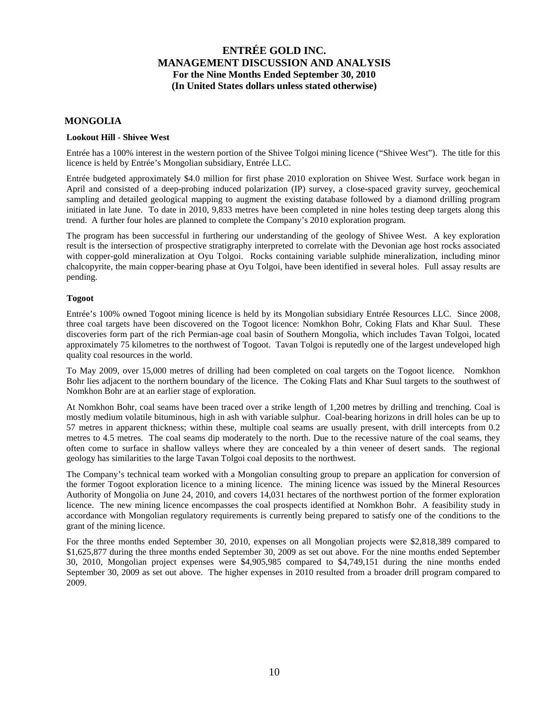### **MONGOLIA**

### **Lookout Hill - Shivee West**

Entrée has a 100% interest in the western portion of the Shivee Tolgoi mining licence ("Shivee West"). The title for this licence is held by Entrée's Mongolian subsidiary, Entrée LLC.

Entrée budgeted approximately \$4.0 million for first phase 2010 exploration on Shivee West. Surface work began in April and consisted of a deep-probing induced polarization (IP) survey, a close-spaced gravity survey, geochemical sampling and detailed geological mapping to augment the existing database followed by a diamond drilling program initiated in late June. To date in 2010, 9,833 metres have been completed in nine holes testing deep targets along this trend. A further four holes are planned to complete the Company's 2010 exploration program.

The program has been successful in furthering our understanding of the geology of Shivee West. A key exploration result is the intersection of prospective stratigraphy interpreted to correlate with the Devonian age host rocks associated with copper-gold mineralization at Oyu Tolgoi. Rocks containing variable sulphide mineralization, including minor chalcopyrite, the main copper-bearing phase at Oyu Tolgoi, have been identified in several holes. Full assay results are pending.

### **Togoot**

Entrée's 100% owned Togoot mining licence is held by its Mongolian subsidiary Entrée Resources LLC. Since 2008, three coal targets have been discovered on the Togoot licence: Nomkhon Bohr, Coking Flats and Khar Suul. These discoveries form part of the rich Permian-age coal basin of Southern Mongolia, which includes Tavan Tolgoi, located approximately 75 kilometres to the northwest of Togoot. Tavan Tolgoi is reputedly one of the largest undeveloped high quality coal resources in the world.

To May 2009, over 15,000 metres of drilling had been completed on coal targets on the Togoot licence. Nomkhon Bohr lies adjacent to the northern boundary of the licence. The Coking Flats and Khar Suul targets to the southwest of Nomkhon Bohr are at an earlier stage of exploration.

At Nomkhon Bohr, coal seams have been traced over a strike length of 1,200 metres by drilling and trenching. Coal is mostly medium volatile bituminous, high in ash with variable sulphur. Coal-bearing horizons in drill holes can be up to 57 metres in apparent thickness; within these, multiple coal seams are usually present, with drill intercepts from 0.2 metres to 4.5 metres. The coal seams dip moderately to the north. Due to the recessive nature of the coal seams, they often come to surface in shallow valleys where they are concealed by a thin veneer of desert sands. The regional geology has similarities to the large Tavan Tolgoi coal deposits to the northwest.

The Company's technical team worked with a Mongolian consulting group to prepare an application for conversion of the former Togoot exploration licence to a mining licence. The mining licence was issued by the Mineral Resources Authority of Mongolia on June 24, 2010, and covers 14,031 hectares of the northwest portion of the former exploration licence. The new mining licence encompasses the coal prospects identified at Nomkhon Bohr. A feasibility study in accordance with Mongolian regulatory requirements is currently being prepared to satisfy one of the conditions to the grant of the mining licence.

For the three months ended September 30, 2010, expenses on all Mongolian projects were \$2,818,389 compared to \$1,625,877 during the three months ended September 30, 2009 as set out above. For the nine months ended September 30, 2010, Mongolian project expenses were \$4,905,985 compared to \$4,749,151 during the nine months ended September 30, 2009 as set out above. The higher expenses in 2010 resulted from a broader drill program compared to 2009.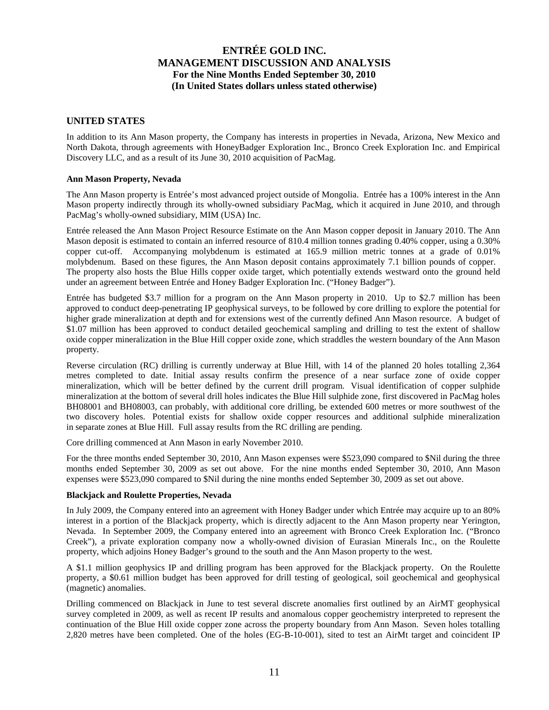### **UNITED STATES**

In addition to its Ann Mason property, the Company has interests in properties in Nevada, Arizona, New Mexico and North Dakota, through agreements with HoneyBadger Exploration Inc., Bronco Creek Exploration Inc. and Empirical Discovery LLC, and as a result of its June 30, 2010 acquisition of PacMag.

### **Ann Mason Property, Nevada**

The Ann Mason property is Entrée's most advanced project outside of Mongolia. Entrée has a 100% interest in the Ann Mason property indirectly through its wholly-owned subsidiary PacMag, which it acquired in June 2010, and through PacMag's wholly-owned subsidiary, MIM (USA) Inc.

Entrée released the Ann Mason Project Resource Estimate on the Ann Mason copper deposit in January 2010. The Ann Mason deposit is estimated to contain an inferred resource of 810.4 million tonnes grading 0.40% copper, using a 0.30% copper cut-off. Accompanying molybdenum is estimated at 165.9 million metric tonnes at a grade of 0.01% molybdenum. Based on these figures, the Ann Mason deposit contains approximately 7.1 billion pounds of copper. The property also hosts the Blue Hills copper oxide target, which potentially extends westward onto the ground held under an agreement between Entrée and Honey Badger Exploration Inc. ("Honey Badger").

Entrée has budgeted \$3.7 million for a program on the Ann Mason property in 2010. Up to \$2.7 million has been approved to conduct deep-penetrating IP geophysical surveys, to be followed by core drilling to explore the potential for higher grade mineralization at depth and for extensions west of the currently defined Ann Mason resource. A budget of \$1.07 million has been approved to conduct detailed geochemical sampling and drilling to test the extent of shallow oxide copper mineralization in the Blue Hill copper oxide zone, which straddles the western boundary of the Ann Mason property.

Reverse circulation (RC) drilling is currently underway at Blue Hill, with 14 of the planned 20 holes totalling 2,364 metres completed to date. Initial assay results confirm the presence of a near surface zone of oxide copper mineralization, which will be better defined by the current drill program. Visual identification of copper sulphide mineralization at the bottom of several drill holes indicates the Blue Hill sulphide zone, first discovered in PacMag holes BH08001 and BH08003, can probably, with additional core drilling, be extended 600 metres or more southwest of the two discovery holes. Potential exists for shallow oxide copper resources and additional sulphide mineralization in separate zones at Blue Hill. Full assay results from the RC drilling are pending.

Core drilling commenced at Ann Mason in early November 2010.

For the three months ended September 30, 2010, Ann Mason expenses were \$523,090 compared to \$Nil during the three months ended September 30, 2009 as set out above. For the nine months ended September 30, 2010, Ann Mason expenses were \$523,090 compared to \$Nil during the nine months ended September 30, 2009 as set out above.

### **Blackjack and Roulette Properties, Nevada**

In July 2009, the Company entered into an agreement with Honey Badger under which Entrée may acquire up to an 80% interest in a portion of the Blackjack property, which is directly adjacent to the Ann Mason property near Yerington, Nevada. In September 2009, the Company entered into an agreement with Bronco Creek Exploration Inc. ("Bronco Creek"), a private exploration company now a wholly-owned division of Eurasian Minerals Inc., on the Roulette property, which adjoins Honey Badger's ground to the south and the Ann Mason property to the west.

A \$1.1 million geophysics IP and drilling program has been approved for the Blackjack property. On the Roulette property, a \$0.61 million budget has been approved for drill testing of geological, soil geochemical and geophysical (magnetic) anomalies.

Drilling commenced on Blackjack in June to test several discrete anomalies first outlined by an AirMT geophysical survey completed in 2009, as well as recent IP results and anomalous copper geochemistry interpreted to represent the continuation of the Blue Hill oxide copper zone across the property boundary from Ann Mason. Seven holes totalling 2,820 metres have been completed. One of the holes (EG-B-10-001), sited to test an AirMt target and coincident IP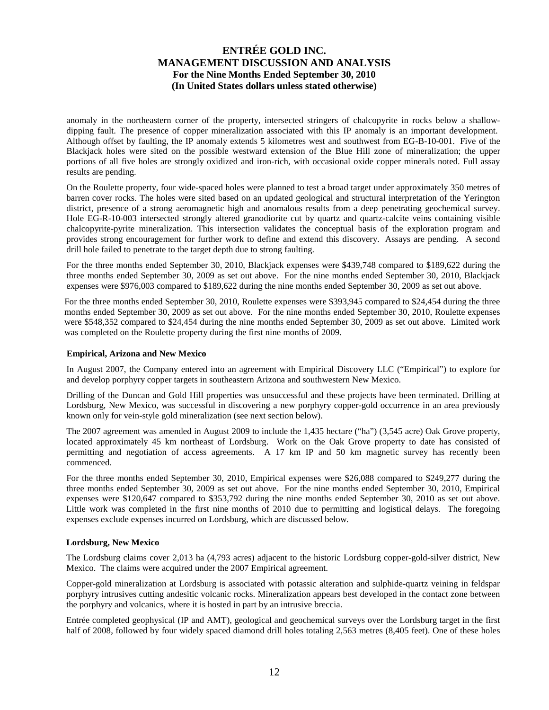anomaly in the northeastern corner of the property, intersected stringers of chalcopyrite in rocks below a shallowdipping fault. The presence of copper mineralization associated with this IP anomaly is an important development. Although offset by faulting, the IP anomaly extends 5 kilometres west and southwest from EG-B-10-001. Five of the Blackjack holes were sited on the possible westward extension of the Blue Hill zone of mineralization; the upper portions of all five holes are strongly oxidized and iron-rich, with occasional oxide copper minerals noted. Full assay results are pending.

On the Roulette property, four wide-spaced holes were planned to test a broad target under approximately 350 metres of barren cover rocks. The holes were sited based on an updated geological and structural interpretation of the Yerington district, presence of a strong aeromagnetic high and anomalous results from a deep penetrating geochemical survey. Hole EG-R-10-003 intersected strongly altered granodiorite cut by quartz and quartz-calcite veins containing visible chalcopyrite-pyrite mineralization. This intersection validates the conceptual basis of the exploration program and provides strong encouragement for further work to define and extend this discovery. Assays are pending. A second drill hole failed to penetrate to the target depth due to strong faulting.

For the three months ended September 30, 2010, Blackjack expenses were \$439,748 compared to \$189,622 during the three months ended September 30, 2009 as set out above. For the nine months ended September 30, 2010, Blackjack expenses were \$976,003 compared to \$189,622 during the nine months ended September 30, 2009 as set out above.

For the three months ended September 30, 2010, Roulette expenses were \$393,945 compared to \$24,454 during the three months ended September 30, 2009 as set out above. For the nine months ended September 30, 2010, Roulette expenses were \$548,352 compared to \$24,454 during the nine months ended September 30, 2009 as set out above. Limited work was completed on the Roulette property during the first nine months of 2009.

#### **Empirical, Arizona and New Mexico**

In August 2007, the Company entered into an agreement with Empirical Discovery LLC ("Empirical") to explore for and develop porphyry copper targets in southeastern Arizona and southwestern New Mexico.

Drilling of the Duncan and Gold Hill properties was unsuccessful and these projects have been terminated. Drilling at Lordsburg, New Mexico, was successful in discovering a new porphyry copper-gold occurrence in an area previously known only for vein-style gold mineralization (see next section below).

The 2007 agreement was amended in August 2009 to include the 1,435 hectare ("ha") (3,545 acre) Oak Grove property, located approximately 45 km northeast of Lordsburg. Work on the Oak Grove property to date has consisted of permitting and negotiation of access agreements. A 17 km IP and 50 km magnetic survey has recently been commenced.

For the three months ended September 30, 2010, Empirical expenses were \$26,088 compared to \$249,277 during the three months ended September 30, 2009 as set out above. For the nine months ended September 30, 2010, Empirical expenses were \$120,647 compared to \$353,792 during the nine months ended September 30, 2010 as set out above. Little work was completed in the first nine months of 2010 due to permitting and logistical delays. The foregoing expenses exclude expenses incurred on Lordsburg, which are discussed below.

#### **Lordsburg, New Mexico**

The Lordsburg claims cover 2,013 ha (4,793 acres) adjacent to the historic Lordsburg copper-gold-silver district, New Mexico. The claims were acquired under the 2007 Empirical agreement.

Copper-gold mineralization at Lordsburg is associated with potassic alteration and sulphide-quartz veining in feldspar porphyry intrusives cutting andesitic volcanic rocks. Mineralization appears best developed in the contact zone between the porphyry and volcanics, where it is hosted in part by an intrusive breccia.

Entrée completed geophysical (IP and AMT), geological and geochemical surveys over the Lordsburg target in the first half of 2008, followed by four widely spaced diamond drill holes totaling 2,563 metres (8,405 feet). One of these holes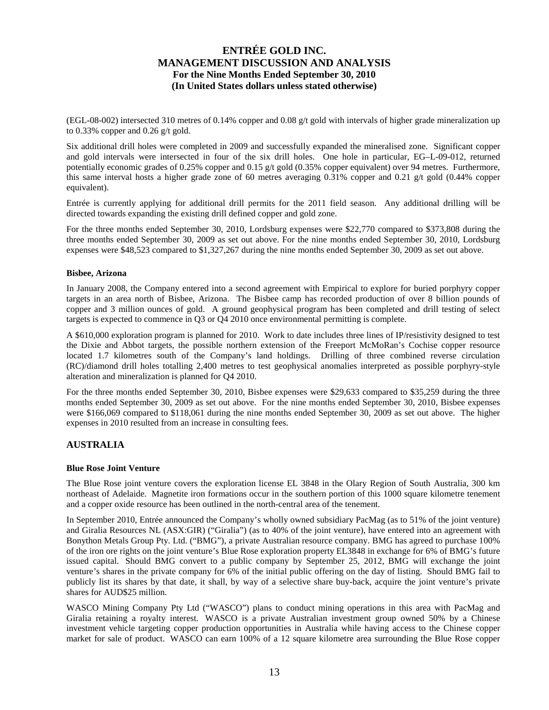(EGL-08-002) intersected 310 metres of 0.14% copper and 0.08 g/t gold with intervals of higher grade mineralization up to 0.33% copper and 0.26 g/t gold.

Six additional drill holes were completed in 2009 and successfully expanded the mineralised zone. Significant copper and gold intervals were intersected in four of the six drill holes. One hole in particular, EG–L-09-012, returned potentially economic grades of 0.25% copper and 0.15 g/t gold (0.35% copper equivalent) over 94 metres. Furthermore, this same interval hosts a higher grade zone of 60 metres averaging 0.31% copper and 0.21 g/t gold (0.44% copper equivalent).

Entrée is currently applying for additional drill permits for the 2011 field season. Any additional drilling will be directed towards expanding the existing drill defined copper and gold zone.

For the three months ended September 30, 2010, Lordsburg expenses were \$22,770 compared to \$373,808 during the three months ended September 30, 2009 as set out above. For the nine months ended September 30, 2010, Lordsburg expenses were \$48,523 compared to \$1,327,267 during the nine months ended September 30, 2009 as set out above.

### **Bisbee, Arizona**

In January 2008, the Company entered into a second agreement with Empirical to explore for buried porphyry copper targets in an area north of Bisbee, Arizona. The Bisbee camp has recorded production of over 8 billion pounds of copper and 3 million ounces of gold. A ground geophysical program has been completed and drill testing of select targets is expected to commence in Q3 or Q4 2010 once environmental permitting is complete.

A \$610,000 exploration program is planned for 2010. Work to date includes three lines of IP/resistivity designed to test the Dixie and Abbot targets, the possible northern extension of the Freeport McMoRan's Cochise copper resource located 1.7 kilometres south of the Company's land holdings. Drilling of three combined reverse circulation (RC)/diamond drill holes totalling 2,400 metres to test geophysical anomalies interpreted as possible porphyry-style alteration and mineralization is planned for Q4 2010.

For the three months ended September 30, 2010, Bisbee expenses were \$29,633 compared to \$35,259 during the three months ended September 30, 2009 as set out above. For the nine months ended September 30, 2010, Bisbee expenses were \$166,069 compared to \$118,061 during the nine months ended September 30, 2009 as set out above. The higher expenses in 2010 resulted from an increase in consulting fees.

### **AUSTRALIA**

#### **Blue Rose Joint Venture**

The Blue Rose joint venture covers the exploration license EL 3848 in the Olary Region of South Australia, 300 km northeast of Adelaide. Magnetite iron formations occur in the southern portion of this 1000 square kilometre tenement and a copper oxide resource has been outlined in the north-central area of the tenement.

In September 2010, Entrée announced the Company's wholly owned subsidiary PacMag (as to 51% of the joint venture) and Giralia Resources NL (ASX:GIR) ("Giralia") (as to 40% of the joint venture), have entered into an agreement with Bonython Metals Group Pty. Ltd. ("BMG"), a private Australian resource company. BMG has agreed to purchase 100% of the iron ore rights on the joint venture's Blue Rose exploration property EL3848 in exchange for 6% of BMG's future issued capital. Should BMG convert to a public company by September 25, 2012, BMG will exchange the joint venture's shares in the private company for 6% of the initial public offering on the day of listing. Should BMG fail to publicly list its shares by that date, it shall, by way of a selective share buy-back, acquire the joint venture's private shares for AUD\$25 million.

WASCO Mining Company Pty Ltd ("WASCO") plans to conduct mining operations in this area with PacMag and Giralia retaining a royalty interest. WASCO is a private Australian investment group owned 50% by a Chinese investment vehicle targeting copper production opportunities in Australia while having access to the Chinese copper market for sale of product. WASCO can earn 100% of a 12 square kilometre area surrounding the Blue Rose copper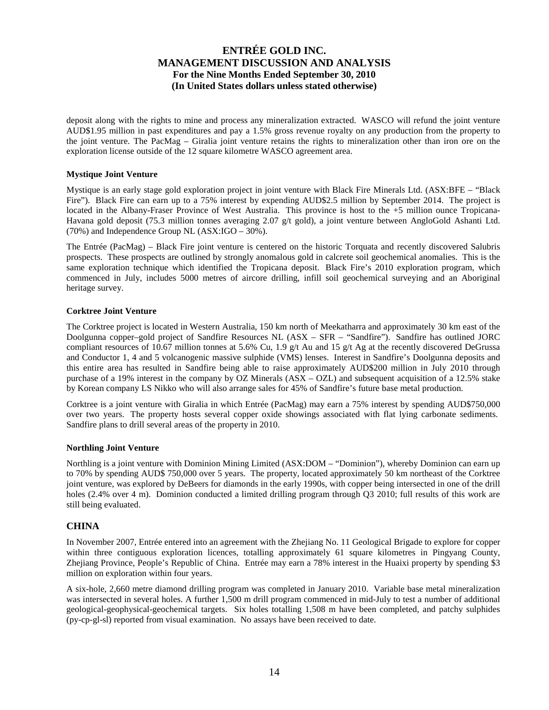deposit along with the rights to mine and process any mineralization extracted. WASCO will refund the joint venture AUD\$1.95 million in past expenditures and pay a 1.5% gross revenue royalty on any production from the property to the joint venture. The PacMag – Giralia joint venture retains the rights to mineralization other than iron ore on the exploration license outside of the 12 square kilometre WASCO agreement area.

### **Mystique Joint Venture**

Mystique is an early stage gold exploration project in joint venture with Black Fire Minerals Ltd. (ASX:BFE – "Black Fire"). Black Fire can earn up to a 75% interest by expending AUD\$2.5 million by September 2014. The project is located in the Albany-Fraser Province of West Australia. This province is host to the +5 million ounce Tropicana-Havana gold deposit (75.3 million tonnes averaging 2.07 g/t gold), a joint venture between AngloGold Ashanti Ltd. (70%) and Independence Group NL (ASX:IGO – 30%).

The Entrée (PacMag) – Black Fire joint venture is centered on the historic Torquata and recently discovered Salubris prospects. These prospects are outlined by strongly anomalous gold in calcrete soil geochemical anomalies. This is the same exploration technique which identified the Tropicana deposit. Black Fire's 2010 exploration program, which commenced in July, includes 5000 metres of aircore drilling, infill soil geochemical surveying and an Aboriginal heritage survey.

### **Corktree Joint Venture**

The Corktree project is located in Western Australia, 150 km north of Meekatharra and approximately 30 km east of the Doolgunna copper–gold project of Sandfire Resources NL (ASX – SFR – "Sandfire"). Sandfire has outlined JORC compliant resources of 10.67 million tonnes at 5.6% Cu, 1.9 g/t Au and 15 g/t Ag at the recently discovered DeGrussa and Conductor 1, 4 and 5 volcanogenic massive sulphide (VMS) lenses. Interest in Sandfire's Doolgunna deposits and this entire area has resulted in Sandfire being able to raise approximately AUD\$200 million in July 2010 through purchase of a 19% interest in the company by OZ Minerals (ASX – OZL) and subsequent acquisition of a 12.5% stake by Korean company LS Nikko who will also arrange sales for 45% of Sandfire's future base metal production.

Corktree is a joint venture with Giralia in which Entrée (PacMag) may earn a 75% interest by spending AUD\$750,000 over two years. The property hosts several copper oxide showings associated with flat lying carbonate sediments. Sandfire plans to drill several areas of the property in 2010.

#### **Northling Joint Venture**

Northling is a joint venture with Dominion Mining Limited (ASX:DOM – "Dominion"), whereby Dominion can earn up to 70% by spending AUD\$ 750,000 over 5 years. The property, located approximately 50 km northeast of the Corktree joint venture, was explored by DeBeers for diamonds in the early 1990s, with copper being intersected in one of the drill holes (2.4% over 4 m). Dominion conducted a limited drilling program through O3 2010; full results of this work are still being evaluated.

### **CHINA**

In November 2007, Entrée entered into an agreement with the Zhejiang No. 11 Geological Brigade to explore for copper within three contiguous exploration licences, totalling approximately 61 square kilometres in Pingyang County, Zhejiang Province, People's Republic of China. Entrée may earn a 78% interest in the Huaixi property by spending \$3 million on exploration within four years.

A six-hole, 2,660 metre diamond drilling program was completed in January 2010. Variable base metal mineralization was intersected in several holes. A further 1,500 m drill program commenced in mid-July to test a number of additional geological-geophysical-geochemical targets. Six holes totalling 1,508 m have been completed, and patchy sulphides (py-cp-gl-sl) reported from visual examination. No assays have been received to date.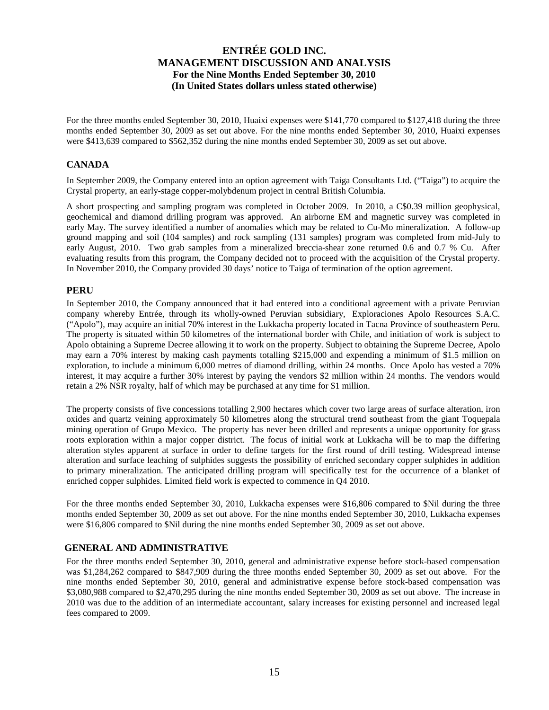For the three months ended September 30, 2010, Huaixi expenses were \$141,770 compared to \$127,418 during the three months ended September 30, 2009 as set out above. For the nine months ended September 30, 2010, Huaixi expenses were \$413,639 compared to \$562,352 during the nine months ended September 30, 2009 as set out above.

### **CANADA**

In September 2009, the Company entered into an option agreement with Taiga Consultants Ltd. ("Taiga") to acquire the Crystal property, an early-stage copper-molybdenum project in central British Columbia.

A short prospecting and sampling program was completed in October 2009. In 2010, a C\$0.39 million geophysical, geochemical and diamond drilling program was approved. An airborne EM and magnetic survey was completed in early May. The survey identified a number of anomalies which may be related to Cu-Mo mineralization. A follow-up ground mapping and soil (104 samples) and rock sampling (131 samples) program was completed from mid-July to early August, 2010. Two grab samples from a mineralized breccia-shear zone returned 0.6 and 0.7 % Cu. After evaluating results from this program, the Company decided not to proceed with the acquisition of the Crystal property. In November 2010, the Company provided 30 days' notice to Taiga of termination of the option agreement.

### **PERU**

In September 2010, the Company announced that it had entered into a conditional agreement with a private Peruvian company whereby Entrée, through its wholly-owned Peruvian subsidiary, Exploraciones Apolo Resources S.A.C. ("Apolo"), may acquire an initial 70% interest in the Lukkacha property located in Tacna Province of southeastern Peru. The property is situated within 50 kilometres of the international border with Chile, and initiation of work is subject to Apolo obtaining a Supreme Decree allowing it to work on the property. Subject to obtaining the Supreme Decree, Apolo may earn a 70% interest by making cash payments totalling \$215,000 and expending a minimum of \$1.5 million on exploration, to include a minimum 6,000 metres of diamond drilling, within 24 months. Once Apolo has vested a 70% interest, it may acquire a further 30% interest by paying the vendors \$2 million within 24 months. The vendors would retain a 2% NSR royalty, half of which may be purchased at any time for \$1 million.

The property consists of five concessions totalling 2,900 hectares which cover two large areas of surface alteration, iron oxides and quartz veining approximately 50 kilometres along the structural trend southeast from the giant Toquepala mining operation of Grupo Mexico. The property has never been drilled and represents a unique opportunity for grass roots exploration within a major copper district. The focus of initial work at Lukkacha will be to map the differing alteration styles apparent at surface in order to define targets for the first round of drill testing. Widespread intense alteration and surface leaching of sulphides suggests the possibility of enriched secondary copper sulphides in addition to primary mineralization. The anticipated drilling program will specifically test for the occurrence of a blanket of enriched copper sulphides. Limited field work is expected to commence in Q4 2010.

For the three months ended September 30, 2010, Lukkacha expenses were \$16,806 compared to \$Nil during the three months ended September 30, 2009 as set out above. For the nine months ended September 30, 2010, Lukkacha expenses were \$16,806 compared to \$Nil during the nine months ended September 30, 2009 as set out above.

### **GENERAL AND ADMINISTRATIVE**

For the three months ended September 30, 2010, general and administrative expense before stock-based compensation was \$1,284,262 compared to \$847,909 during the three months ended September 30, 2009 as set out above. For the nine months ended September 30, 2010, general and administrative expense before stock-based compensation was \$3,080,988 compared to \$2,470,295 during the nine months ended September 30, 2009 as set out above. The increase in 2010 was due to the addition of an intermediate accountant, salary increases for existing personnel and increased legal fees compared to 2009.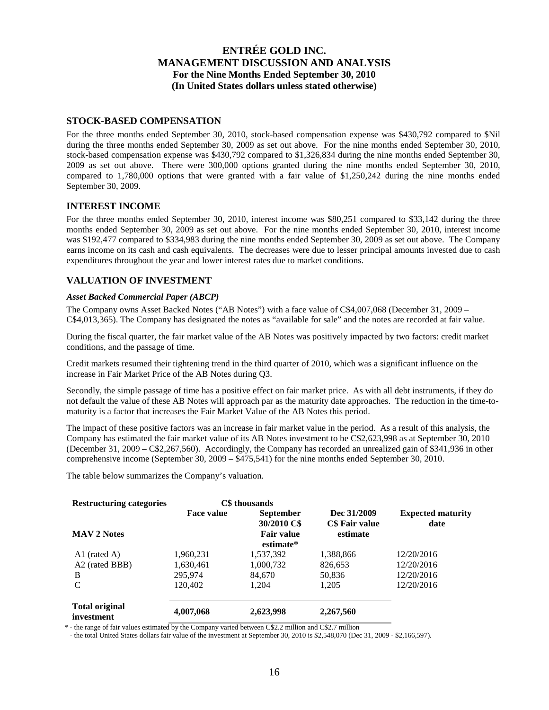### **STOCK-BASED COMPENSATION**

For the three months ended September 30, 2010, stock-based compensation expense was \$430,792 compared to \$Nil during the three months ended September 30, 2009 as set out above. For the nine months ended September 30, 2010, stock-based compensation expense was \$430,792 compared to \$1,326,834 during the nine months ended September 30, 2009 as set out above. There were 300,000 options granted during the nine months ended September 30, 2010, compared to 1,780,000 options that were granted with a fair value of \$1,250,242 during the nine months ended September 30, 2009.

### **INTEREST INCOME**

For the three months ended September 30, 2010, interest income was \$80,251 compared to \$33,142 during the three months ended September 30, 2009 as set out above. For the nine months ended September 30, 2010, interest income was \$192,477 compared to \$334,983 during the nine months ended September 30, 2009 as set out above. The Company earns income on its cash and cash equivalents. The decreases were due to lesser principal amounts invested due to cash expenditures throughout the year and lower interest rates due to market conditions.

### **VALUATION OF INVESTMENT**

#### *Asset Backed Commercial Paper (ABCP)*

The Company owns Asset Backed Notes ("AB Notes") with a face value of C\$4,007,068 (December 31, 2009 – C\$4,013,365). The Company has designated the notes as "available for sale" and the notes are recorded at fair value.

During the fiscal quarter, the fair market value of the AB Notes was positively impacted by two factors: credit market conditions, and the passage of time.

Credit markets resumed their tightening trend in the third quarter of 2010, which was a significant influence on the increase in Fair Market Price of the AB Notes during Q3.

Secondly, the simple passage of time has a positive effect on fair market price. As with all debt instruments, if they do not default the value of these AB Notes will approach par as the maturity date approaches. The reduction in the time-tomaturity is a factor that increases the Fair Market Value of the AB Notes this period.

The impact of these positive factors was an increase in fair market value in the period. As a result of this analysis, the Company has estimated the fair market value of its AB Notes investment to be C\$2,623,998 as at September 30, 2010 (December 31, 2009 – C\$2,267,560). Accordingly, the Company has recorded an unrealized gain of \$341,936 in other comprehensive income (September 30, 2009 – \$475,541) for the nine months ended September 30, 2010.

The table below summarizes the Company's valuation.

| <b>Restructuring categories</b>     |                   | C\$ thousands                                        |                                           |                                  |
|-------------------------------------|-------------------|------------------------------------------------------|-------------------------------------------|----------------------------------|
| <b>MAV 2 Notes</b>                  | <b>Face value</b> | <b>September</b><br>30/2010 C\$<br><b>Fair value</b> | Dec 31/2009<br>C\$ Fair value<br>estimate | <b>Expected maturity</b><br>date |
|                                     |                   | estimate*                                            |                                           |                                  |
| A1 (rated A)                        | 1,960,231         | 1,537,392                                            | 1,388,866                                 | 12/20/2016                       |
| A <sub>2</sub> (rated BBB)          | 1,630,461         | 1,000,732                                            | 826,653                                   | 12/20/2016                       |
| B                                   | 295,974           | 84.670                                               | 50,836                                    | 12/20/2016                       |
| C                                   | 120,402           | 1.204                                                | 1,205                                     | 12/20/2016                       |
| <b>Total original</b><br>investment | 4,007,068         | 2,623,998                                            | 2,267,560                                 |                                  |

\* - the range of fair values estimated by the Company varied between C\$2.2 million and C\$2.7 million

- the total United States dollars fair value of the investment at September 30, 2010 is \$2,548,070 (Dec 31, 2009 - \$2,166,597).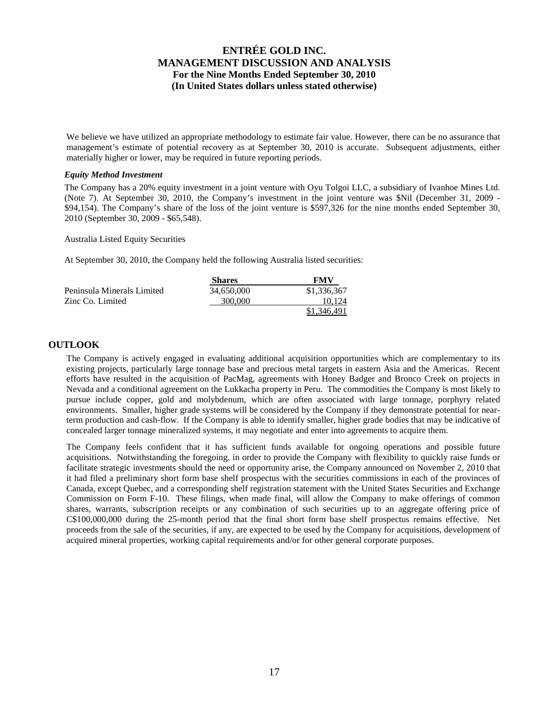We believe we have utilized an appropriate methodology to estimate fair value. However, there can be no assurance that management's estimate of potential recovery as at September 30, 2010 is accurate. Subsequent adjustments, either materially higher or lower, may be required in future reporting periods.

#### *Equity Method Investment*

The Company has a 20% equity investment in a joint venture with Oyu Tolgoi LLC, a subsidiary of Ivanhoe Mines Ltd. (Note 7). At September 30, 2010, the Company's investment in the joint venture was \$Nil (December 31, 2009 - \$94,154). The Company's share of the loss of the joint venture is \$597,326 for the nine months ended September 30, 2010 (September 30, 2009 - \$65,548).

Australia Listed Equity Securities

At September 30, 2010, the Company held the following Australia listed securities:

|                            | <b>Shares</b> | FMV         |
|----------------------------|---------------|-------------|
| Peninsula Minerals Limited | 34.650.000    | \$1,336,367 |
| Zinc Co. Limited           | 300,000       | 10.124      |
|                            |               | \$1,346,491 |

### **OUTLOOK**

The Company is actively engaged in evaluating additional acquisition opportunities which are complementary to its existing projects, particularly large tonnage base and precious metal targets in eastern Asia and the Americas. Recent efforts have resulted in the acquisition of PacMag, agreements with Honey Badger and Bronco Creek on projects in Nevada and a conditional agreement on the Lukkacha property in Peru. The commodities the Company is most likely to pursue include copper, gold and molybdenum, which are often associated with large tonnage, porphyry related environments. Smaller, higher grade systems will be considered by the Company if they demonstrate potential for nearterm production and cash-flow. If the Company is able to identify smaller, higher grade bodies that may be indicative of concealed larger tonnage mineralized systems, it may negotiate and enter into agreements to acquire them.

The Company feels confident that it has sufficient funds available for ongoing operations and possible future acquisitions. Notwithstanding the foregoing, in order to provide the Company with flexibility to quickly raise funds or facilitate strategic investments should the need or opportunity arise, the Company announced on November 2, 2010 that it had filed a preliminary short form base shelf prospectus with the securities commissions in each of the provinces of Canada, except Quebec, and a corresponding shelf registration statement with the United States Securities and Exchange Commission on Form F-10. These filings, when made final, will allow the Company to make offerings of common shares, warrants, subscription receipts or any combination of such securities up to an aggregate offering price of C\$100,000,000 during the 25-month period that the final short form base shelf prospectus remains effective. Net proceeds from the sale of the securities, if any, are expected to be used by the Company for acquisitions, development of acquired mineral properties, working capital requirements and/or for other general corporate purposes.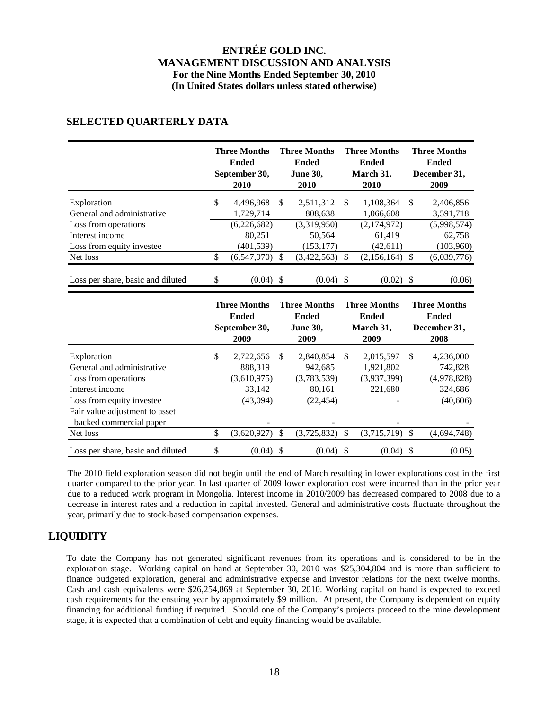|                                              | <b>Three Months</b><br><b>Ended</b><br>September 30,<br>2010   |     | <b>Three Months</b><br><b>Ended</b><br><b>June 30,</b><br>2010 |   | <b>Three Months</b><br><b>Ended</b><br>March 31,<br>2010       |    | <b>Three Months</b><br>Ended<br>December 31,<br>2009 |
|----------------------------------------------|----------------------------------------------------------------|-----|----------------------------------------------------------------|---|----------------------------------------------------------------|----|------------------------------------------------------|
| Exploration<br>General and administrative    | \$<br>4,496,968<br>1,729,714                                   | \$. | 2,511,312<br>808,638                                           | S | 1,108,364<br>1,066,608                                         | -S | 2,406,856<br>3,591,718                               |
| Loss from operations                         | (6,226,682)                                                    |     | (3,319,950)                                                    |   | (2,174,972)                                                    |    | (5,998,574)                                          |
| Interest income<br>Loss from equity investee | 80,251<br>(401,539)                                            |     | 50,564<br>(153, 177)                                           |   | 61.419<br>(42,611)                                             |    | 62,758<br>(103,960)                                  |
| Net loss                                     | \$<br>(6,547,970)                                              | S   | (3,422,563)                                                    |   | (2,156,164)                                                    | S  | (6,039,776)                                          |
| Loss per share, basic and diluted            | \$<br>$(0.04)$ \$                                              |     | $(0.04)$ \$                                                    |   | $(0.02)$ \$                                                    |    | (0.06)                                               |
|                                              | <b>Three Months</b><br><b>Ended</b><br>$\mathbf{Contombou 20}$ |     | <b>Three Months</b><br><b>Ended</b><br>$T_{\rm{max}}$ 20       |   | <b>Three Months</b><br><b>Ended</b><br>$M$ <sub>ona</sub> k 21 |    | <b>Three Months</b><br><b>Ended</b><br>Dooombor 21   |

### **SELECTED QUARTERLY DATA**

|                                                           |     | <b>Three Months</b><br><b>Ended</b><br>September 30,<br>2009 |     | <b>Three Months</b><br><b>Ended</b><br><b>June 30,</b><br>2009 |     | <b>Three Months</b><br><b>Ended</b><br>March 31,<br>2009 |   | <b>Three Months</b><br><b>Ended</b><br>December 31,<br>2008 |
|-----------------------------------------------------------|-----|--------------------------------------------------------------|-----|----------------------------------------------------------------|-----|----------------------------------------------------------|---|-------------------------------------------------------------|
| Exploration                                               | \$  | 2,722,656                                                    | S   | 2,840,854                                                      | \$. | 2,015,597                                                | S | 4,236,000                                                   |
| General and administrative                                |     | 888,319                                                      |     | 942,685                                                        |     | 1,921,802                                                |   | 742,828                                                     |
| Loss from operations                                      |     | (3,610,975)                                                  |     | (3,783,539)                                                    |     | (3,937,399)                                              |   | (4,978,828)                                                 |
| Interest income                                           |     | 33.142                                                       |     | 80.161                                                         |     | 221.680                                                  |   | 324,686                                                     |
| Loss from equity investee                                 |     | (43,094)                                                     |     | (22, 454)                                                      |     |                                                          |   | (40,606)                                                    |
| Fair value adjustment to asset<br>backed commercial paper |     |                                                              |     |                                                                |     |                                                          |   |                                                             |
| Net loss                                                  | \$. | (3,620,927)                                                  | \$. | $(3,725,832)$ \$                                               |     | $(3,715,719)$ \$                                         |   | (4,694,748)                                                 |
| Loss per share, basic and diluted                         | \$  | $(0.04)$ \$                                                  |     | $(0.04)$ \$                                                    |     | $(0.04)$ \$                                              |   | (0.05)                                                      |

The 2010 field exploration season did not begin until the end of March resulting in lower explorations cost in the first quarter compared to the prior year. In last quarter of 2009 lower exploration cost were incurred than in the prior year due to a reduced work program in Mongolia. Interest income in 2010/2009 has decreased compared to 2008 due to a decrease in interest rates and a reduction in capital invested. General and administrative costs fluctuate throughout the year, primarily due to stock-based compensation expenses.

# **LIQUIDITY**

To date the Company has not generated significant revenues from its operations and is considered to be in the exploration stage. Working capital on hand at September 30, 2010 was \$25,304,804 and is more than sufficient to finance budgeted exploration, general and administrative expense and investor relations for the next twelve months. Cash and cash equivalents were \$26,254,869 at September 30, 2010. Working capital on hand is expected to exceed cash requirements for the ensuing year by approximately \$9 million. At present, the Company is dependent on equity financing for additional funding if required. Should one of the Company's projects proceed to the mine development stage, it is expected that a combination of debt and equity financing would be available.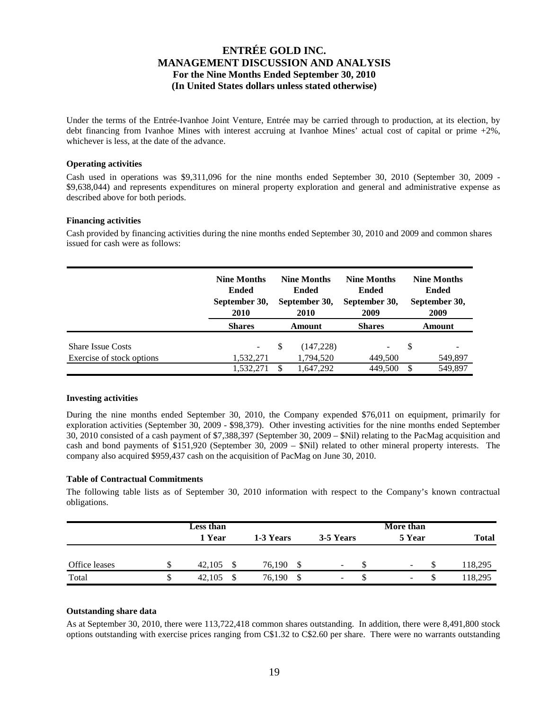Under the terms of the Entrée-Ivanhoe Joint Venture, Entrée may be carried through to production, at its election, by debt financing from Ivanhoe Mines with interest accruing at Ivanhoe Mines' actual cost of capital or prime +2%, whichever is less, at the date of the advance.

### **Operating activities**

Cash used in operations was \$9,311,096 for the nine months ended September 30, 2010 (September 30, 2009 - \$9,638,044) and represents expenditures on mineral property exploration and general and administrative expense as described above for both periods.

### **Financing activities**

Cash provided by financing activities during the nine months ended September 30, 2010 and 2009 and common shares issued for cash were as follows:

|                                                       | <b>Nine Months</b><br><b>Ended</b><br>September 30,<br>2010 | <b>Nine Months</b><br><b>Ended</b><br>September 30,<br>2010 |                        | <b>Nine Months</b><br><b>Ended</b><br>September 30,<br>2009 | <b>Nine Months</b><br><b>Ended</b><br>September 30,<br>2009 |         |
|-------------------------------------------------------|-------------------------------------------------------------|-------------------------------------------------------------|------------------------|-------------------------------------------------------------|-------------------------------------------------------------|---------|
|                                                       | <b>Shares</b>                                               |                                                             | Amount                 | <b>Shares</b>                                               |                                                             | Amount  |
| <b>Share Issue Costs</b><br>Exercise of stock options | -<br>1,532,271                                              | S                                                           | (147,228)<br>1,794,520 | 449,500                                                     | -S                                                          | 549,897 |
|                                                       |                                                             |                                                             |                        |                                                             |                                                             |         |
|                                                       | 1,532,271                                                   |                                                             | 1,647,292              | 449,500                                                     |                                                             | 549,897 |

#### **Investing activities**

During the nine months ended September 30, 2010, the Company expended \$76,011 on equipment, primarily for exploration activities (September 30, 2009 - \$98,379). Other investing activities for the nine months ended September 30, 2010 consisted of a cash payment of \$7,388,397 (September 30, 2009 – \$Nil) relating to the PacMag acquisition and cash and bond payments of \$151,920 (September 30, 2009 – \$Nil) related to other mineral property interests. The company also acquired \$959,437 cash on the acquisition of PacMag on June 30, 2010.

### **Table of Contractual Commitments**

The following table lists as of September 30, 2010 information with respect to the Company's known contractual obligations.

|               | <b>Less than</b> |              |                          | More than                |              |
|---------------|------------------|--------------|--------------------------|--------------------------|--------------|
|               | 1 Year           | 1-3 Years    | 3-5 Years                | 5 Year                   | <b>Total</b> |
|               |                  |              |                          |                          |              |
| Office leases | 42,105           | 76.190<br>S  | $\overline{\phantom{a}}$ | $\sim$                   | 118,295      |
| Total         | 42,105           | 76,190<br>\$ | $\overline{\phantom{a}}$ | $\overline{\phantom{a}}$ | 118,295      |

### **Outstanding share data**

As at September 30, 2010, there were 113,722,418 common shares outstanding. In addition, there were 8,491,800 stock options outstanding with exercise prices ranging from C\$1.32 to C\$2.60 per share. There were no warrants outstanding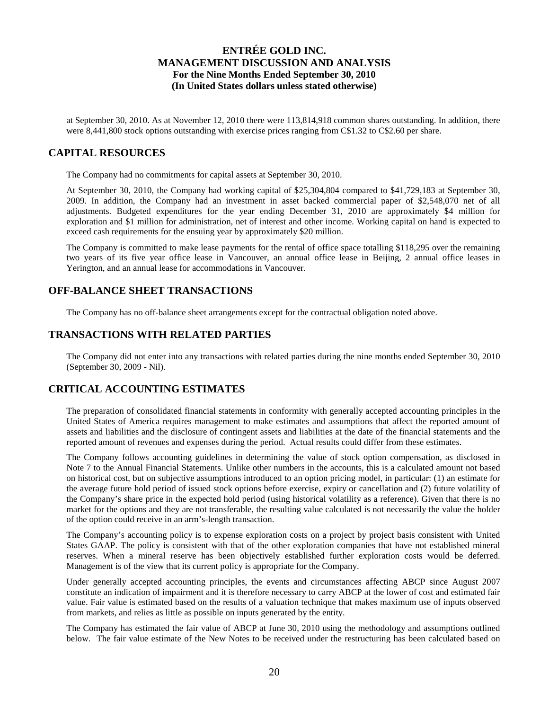at September 30, 2010. As at November 12, 2010 there were 113,814,918 common shares outstanding. In addition, there were 8,441,800 stock options outstanding with exercise prices ranging from C\$1.32 to C\$2.60 per share.

## **CAPITAL RESOURCES**

The Company had no commitments for capital assets at September 30, 2010.

At September 30, 2010, the Company had working capital of \$25,304,804 compared to \$41,729,183 at September 30, 2009. In addition, the Company had an investment in asset backed commercial paper of \$2,548,070 net of all adjustments. Budgeted expenditures for the year ending December 31, 2010 are approximately \$4 million for exploration and \$1 million for administration, net of interest and other income. Working capital on hand is expected to exceed cash requirements for the ensuing year by approximately \$20 million.

The Company is committed to make lease payments for the rental of office space totalling \$118,295 over the remaining two years of its five year office lease in Vancouver, an annual office lease in Beijing, 2 annual office leases in Yerington, and an annual lease for accommodations in Vancouver.

## **OFF-BALANCE SHEET TRANSACTIONS**

The Company has no off-balance sheet arrangements except for the contractual obligation noted above.

### **TRANSACTIONS WITH RELATED PARTIES**

The Company did not enter into any transactions with related parties during the nine months ended September 30, 2010 (September 30, 2009 - Nil).

## **CRITICAL ACCOUNTING ESTIMATES**

The preparation of consolidated financial statements in conformity with generally accepted accounting principles in the United States of America requires management to make estimates and assumptions that affect the reported amount of assets and liabilities and the disclosure of contingent assets and liabilities at the date of the financial statements and the reported amount of revenues and expenses during the period. Actual results could differ from these estimates.

The Company follows accounting guidelines in determining the value of stock option compensation, as disclosed in Note 7 to the Annual Financial Statements. Unlike other numbers in the accounts, this is a calculated amount not based on historical cost, but on subjective assumptions introduced to an option pricing model, in particular: (1) an estimate for the average future hold period of issued stock options before exercise, expiry or cancellation and (2) future volatility of the Company's share price in the expected hold period (using historical volatility as a reference). Given that there is no market for the options and they are not transferable, the resulting value calculated is not necessarily the value the holder of the option could receive in an arm's-length transaction.

The Company's accounting policy is to expense exploration costs on a project by project basis consistent with United States GAAP. The policy is consistent with that of the other exploration companies that have not established mineral reserves. When a mineral reserve has been objectively established further exploration costs would be deferred. Management is of the view that its current policy is appropriate for the Company.

Under generally accepted accounting principles, the events and circumstances affecting ABCP since August 2007 constitute an indication of impairment and it is therefore necessary to carry ABCP at the lower of cost and estimated fair value. Fair value is estimated based on the results of a valuation technique that makes maximum use of inputs observed from markets, and relies as little as possible on inputs generated by the entity.

The Company has estimated the fair value of ABCP at June 30, 2010 using the methodology and assumptions outlined below. The fair value estimate of the New Notes to be received under the restructuring has been calculated based on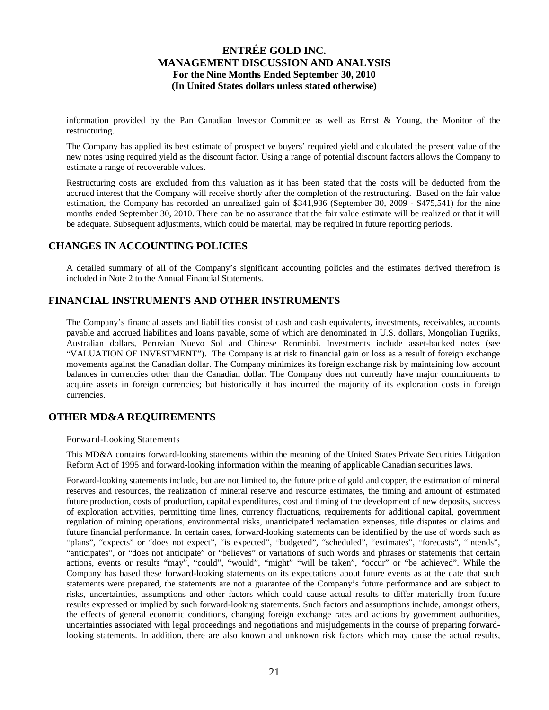information provided by the Pan Canadian Investor Committee as well as Ernst & Young, the Monitor of the restructuring.

The Company has applied its best estimate of prospective buyers' required yield and calculated the present value of the new notes using required yield as the discount factor. Using a range of potential discount factors allows the Company to estimate a range of recoverable values.

Restructuring costs are excluded from this valuation as it has been stated that the costs will be deducted from the accrued interest that the Company will receive shortly after the completion of the restructuring. Based on the fair value estimation, the Company has recorded an unrealized gain of \$341,936 (September 30, 2009 - \$475,541) for the nine months ended September 30, 2010. There can be no assurance that the fair value estimate will be realized or that it will be adequate. Subsequent adjustments, which could be material, may be required in future reporting periods.

# **CHANGES IN ACCOUNTING POLICIES**

A detailed summary of all of the Company's significant accounting policies and the estimates derived therefrom is included in Note 2 to the Annual Financial Statements.

## **FINANCIAL INSTRUMENTS AND OTHER INSTRUMENTS**

The Company's financial assets and liabilities consist of cash and cash equivalents, investments, receivables, accounts payable and accrued liabilities and loans payable, some of which are denominated in U.S. dollars, Mongolian Tugriks, Australian dollars, Peruvian Nuevo Sol and Chinese Renminbi. Investments include asset-backed notes (see "VALUATION OF INVESTMENT"). The Company is at risk to financial gain or loss as a result of foreign exchange movements against the Canadian dollar. The Company minimizes its foreign exchange risk by maintaining low account balances in currencies other than the Canadian dollar. The Company does not currently have major commitments to acquire assets in foreign currencies; but historically it has incurred the majority of its exploration costs in foreign currencies.

# **OTHER MD&A REQUIREMENTS**

Forward-Looking Statements

This MD&A contains forward-looking statements within the meaning of the United States Private Securities Litigation Reform Act of 1995 and forward-looking information within the meaning of applicable Canadian securities laws.

Forward-looking statements include, but are not limited to, the future price of gold and copper, the estimation of mineral reserves and resources, the realization of mineral reserve and resource estimates, the timing and amount of estimated future production, costs of production, capital expenditures, cost and timing of the development of new deposits, success of exploration activities, permitting time lines, currency fluctuations, requirements for additional capital, government regulation of mining operations, environmental risks, unanticipated reclamation expenses, title disputes or claims and future financial performance. In certain cases, forward-looking statements can be identified by the use of words such as "plans", "expects" or "does not expect", "is expected", "budgeted", "scheduled", "estimates", "forecasts", "intends", "anticipates", or "does not anticipate" or "believes" or variations of such words and phrases or statements that certain actions, events or results "may", "could", "would", "might" "will be taken", "occur" or "be achieved". While the Company has based these forward-looking statements on its expectations about future events as at the date that such statements were prepared, the statements are not a guarantee of the Company's future performance and are subject to risks, uncertainties, assumptions and other factors which could cause actual results to differ materially from future results expressed or implied by such forward-looking statements. Such factors and assumptions include, amongst others, the effects of general economic conditions, changing foreign exchange rates and actions by government authorities, uncertainties associated with legal proceedings and negotiations and misjudgements in the course of preparing forwardlooking statements. In addition, there are also known and unknown risk factors which may cause the actual results,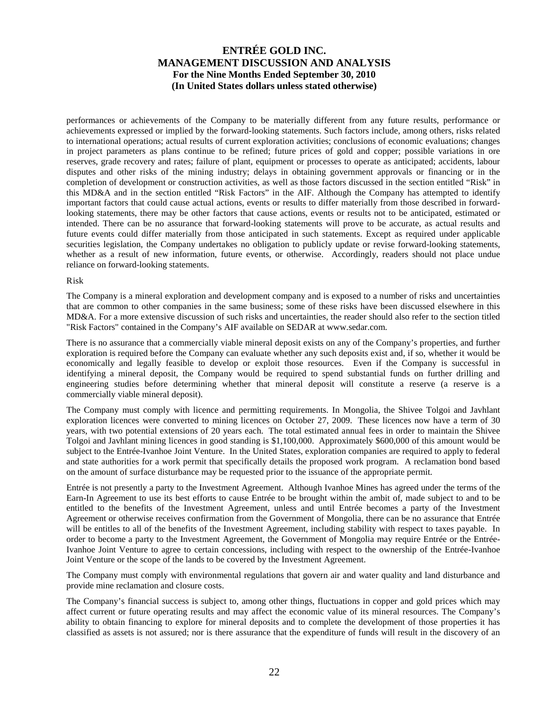performances or achievements of the Company to be materially different from any future results, performance or achievements expressed or implied by the forward-looking statements. Such factors include, among others, risks related to international operations; actual results of current exploration activities; conclusions of economic evaluations; changes in project parameters as plans continue to be refined; future prices of gold and copper; possible variations in ore reserves, grade recovery and rates; failure of plant, equipment or processes to operate as anticipated; accidents, labour disputes and other risks of the mining industry; delays in obtaining government approvals or financing or in the completion of development or construction activities, as well as those factors discussed in the section entitled "Risk" in this MD&A and in the section entitled "Risk Factors" in the AIF. Although the Company has attempted to identify important factors that could cause actual actions, events or results to differ materially from those described in forwardlooking statements, there may be other factors that cause actions, events or results not to be anticipated, estimated or intended. There can be no assurance that forward-looking statements will prove to be accurate, as actual results and future events could differ materially from those anticipated in such statements. Except as required under applicable securities legislation, the Company undertakes no obligation to publicly update or revise forward-looking statements, whether as a result of new information, future events, or otherwise. Accordingly, readers should not place undue reliance on forward-looking statements.

#### Risk

The Company is a mineral exploration and development company and is exposed to a number of risks and uncertainties that are common to other companies in the same business; some of these risks have been discussed elsewhere in this MD&A. For a more extensive discussion of such risks and uncertainties, the reader should also refer to the section titled "Risk Factors" contained in the Company's AIF available on SEDAR at www.sedar.com.

There is no assurance that a commercially viable mineral deposit exists on any of the Company's properties, and further exploration is required before the Company can evaluate whether any such deposits exist and, if so, whether it would be economically and legally feasible to develop or exploit those resources. Even if the Company is successful in identifying a mineral deposit, the Company would be required to spend substantial funds on further drilling and engineering studies before determining whether that mineral deposit will constitute a reserve (a reserve is a commercially viable mineral deposit).

The Company must comply with licence and permitting requirements. In Mongolia, the Shivee Tolgoi and Javhlant exploration licences were converted to mining licences on October 27, 2009. These licences now have a term of 30 years, with two potential extensions of 20 years each. The total estimated annual fees in order to maintain the Shivee Tolgoi and Javhlant mining licences in good standing is \$1,100,000. Approximately \$600,000 of this amount would be subject to the Entrée-Ivanhoe Joint Venture. In the United States, exploration companies are required to apply to federal and state authorities for a work permit that specifically details the proposed work program. A reclamation bond based on the amount of surface disturbance may be requested prior to the issuance of the appropriate permit.

Entrée is not presently a party to the Investment Agreement. Although Ivanhoe Mines has agreed under the terms of the Earn-In Agreement to use its best efforts to cause Entrée to be brought within the ambit of, made subject to and to be entitled to the benefits of the Investment Agreement, unless and until Entrée becomes a party of the Investment Agreement or otherwise receives confirmation from the Government of Mongolia, there can be no assurance that Entrée will be entitles to all of the benefits of the Investment Agreement, including stability with respect to taxes payable. In order to become a party to the Investment Agreement, the Government of Mongolia may require Entrée or the Entrée-Ivanhoe Joint Venture to agree to certain concessions, including with respect to the ownership of the Entrée-Ivanhoe Joint Venture or the scope of the lands to be covered by the Investment Agreement.

The Company must comply with environmental regulations that govern air and water quality and land disturbance and provide mine reclamation and closure costs.

The Company's financial success is subject to, among other things, fluctuations in copper and gold prices which may affect current or future operating results and may affect the economic value of its mineral resources. The Company's ability to obtain financing to explore for mineral deposits and to complete the development of those properties it has classified as assets is not assured; nor is there assurance that the expenditure of funds will result in the discovery of an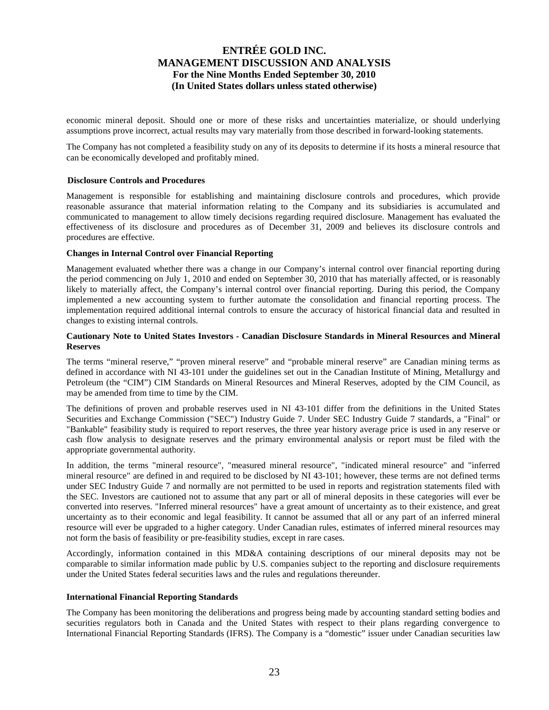economic mineral deposit. Should one or more of these risks and uncertainties materialize, or should underlying assumptions prove incorrect, actual results may vary materially from those described in forward-looking statements.

The Company has not completed a feasibility study on any of its deposits to determine if its hosts a mineral resource that can be economically developed and profitably mined.

### **Disclosure Controls and Procedures**

Management is responsible for establishing and maintaining disclosure controls and procedures, which provide reasonable assurance that material information relating to the Company and its subsidiaries is accumulated and communicated to management to allow timely decisions regarding required disclosure. Management has evaluated the effectiveness of its disclosure and procedures as of December 31, 2009 and believes its disclosure controls and procedures are effective.

#### **Changes in Internal Control over Financial Reporting**

Management evaluated whether there was a change in our Company's internal control over financial reporting during the period commencing on July 1, 2010 and ended on September 30, 2010 that has materially affected, or is reasonably likely to materially affect, the Company's internal control over financial reporting. During this period, the Company implemented a new accounting system to further automate the consolidation and financial reporting process. The implementation required additional internal controls to ensure the accuracy of historical financial data and resulted in changes to existing internal controls.

#### **Cautionary Note to United States Investors - Canadian Disclosure Standards in Mineral Resources and Mineral Reserves**

The terms "mineral reserve," "proven mineral reserve" and "probable mineral reserve" are Canadian mining terms as defined in accordance with NI 43-101 under the guidelines set out in the Canadian Institute of Mining, Metallurgy and Petroleum (the "CIM") CIM Standards on Mineral Resources and Mineral Reserves, adopted by the CIM Council, as may be amended from time to time by the CIM.

The definitions of proven and probable reserves used in NI 43-101 differ from the definitions in the United States Securities and Exchange Commission ("SEC") Industry Guide 7. Under SEC Industry Guide 7 standards, a "Final" or "Bankable" feasibility study is required to report reserves, the three year history average price is used in any reserve or cash flow analysis to designate reserves and the primary environmental analysis or report must be filed with the appropriate governmental authority.

In addition, the terms "mineral resource", "measured mineral resource", "indicated mineral resource" and "inferred mineral resource" are defined in and required to be disclosed by NI 43-101; however, these terms are not defined terms under SEC Industry Guide 7 and normally are not permitted to be used in reports and registration statements filed with the SEC. Investors are cautioned not to assume that any part or all of mineral deposits in these categories will ever be converted into reserves. "Inferred mineral resources" have a great amount of uncertainty as to their existence, and great uncertainty as to their economic and legal feasibility. It cannot be assumed that all or any part of an inferred mineral resource will ever be upgraded to a higher category. Under Canadian rules, estimates of inferred mineral resources may not form the basis of feasibility or pre-feasibility studies, except in rare cases.

Accordingly, information contained in this MD&A containing descriptions of our mineral deposits may not be comparable to similar information made public by U.S. companies subject to the reporting and disclosure requirements under the United States federal securities laws and the rules and regulations thereunder.

### **International Financial Reporting Standards**

The Company has been monitoring the deliberations and progress being made by accounting standard setting bodies and securities regulators both in Canada and the United States with respect to their plans regarding convergence to International Financial Reporting Standards (IFRS). The Company is a "domestic" issuer under Canadian securities law